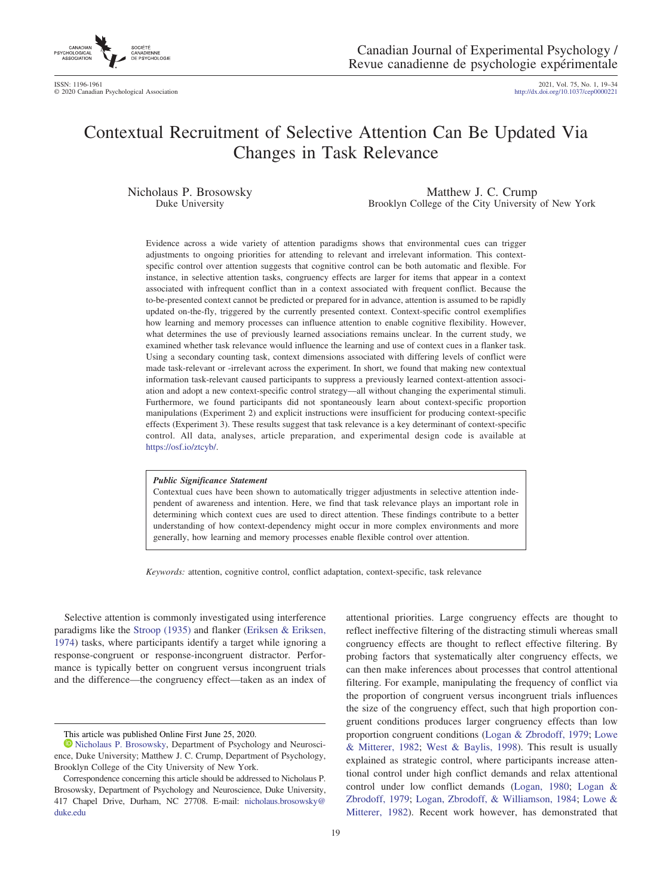

2021, Vol. 75, No. 1, 19-34<br>http://dx.doi.org/10.1037/cep0000221

# Contextual Recruitment of Selective Attention Can Be Updated Via Changes in Task Relevance

Nicholaus P. Brosowsky Duke University

Matthew J. C. Crump Brooklyn College of the City University of New York

Evidence across a wide variety of attention paradigms shows that environmental cues can trigger adjustments to ongoing priorities for attending to relevant and irrelevant information. This contextspecific control over attention suggests that cognitive control can be both automatic and flexible. For instance, in selective attention tasks, congruency effects are larger for items that appear in a context associated with infrequent conflict than in a context associated with frequent conflict. Because the to-be-presented context cannot be predicted or prepared for in advance, attention is assumed to be rapidly updated on-the-fly, triggered by the currently presented context. Context-specific control exemplifies how learning and memory processes can influence attention to enable cognitive flexibility. However, what determines the use of previously learned associations remains unclear. In the current study, we examined whether task relevance would influence the learning and use of context cues in a flanker task. Using a secondary counting task, context dimensions associated with differing levels of conflict were made task-relevant or -irrelevant across the experiment. In short, we found that making new contextual information task-relevant caused participants to suppress a previously learned context-attention association and adopt a new context-specific control strategy––all without changing the experimental stimuli. Furthermore, we found participants did not spontaneously learn about context-specific proportion manipulations (Experiment 2) and explicit instructions were insufficient for producing context-specific effects (Experiment 3). These results suggest that task relevance is a key determinant of context-specific control. All data, analyses, article preparation, and experimental design code is available at [https://osf.io/ztcyb/.](https://osf.io/ztcyb/)

#### *Public Significance Statement*

Contextual cues have been shown to automatically trigger adjustments in selective attention independent of awareness and intention. Here, we find that task relevance plays an important role in determining which context cues are used to direct attention. These findings contribute to a better understanding of how context-dependency might occur in more complex environments and more generally, how learning and memory processes enable flexible control over attention.

*Keywords:* attention, cognitive control, conflict adaptation, context-specific, task relevance

Selective attention is commonly investigated using interference paradigms like the [Stroop \(1935\)](#page-14-0) and flanker [\(Eriksen & Eriksen,](#page-13-0) [1974\)](#page-13-0) tasks, where participants identify a target while ignoring a response-congruent or response-incongruent distractor. Performance is typically better on congruent versus incongruent trials and the difference—the congruency effect—taken as an index of

19

attentional priorities. Large congruency effects are thought to reflect ineffective filtering of the distracting stimuli whereas small congruency effects are thought to reflect effective filtering. By probing factors that systematically alter congruency effects, we can then make inferences about processes that control attentional filtering. For example, manipulating the frequency of conflict via the proportion of congruent versus incongruent trials influences the size of the congruency effect, such that high proportion congruent conditions produces larger congruency effects than low proportion congruent conditions [\(Logan & Zbrodoff, 1979;](#page-13-1) [Lowe](#page-13-2) [& Mitterer, 1982;](#page-13-2) [West & Baylis, 1998\)](#page-14-1). This result is usually explained as strategic control, where participants increase attentional control under high conflict demands and relax attentional control under low conflict demands [\(Logan, 1980;](#page-13-3) [Logan &](#page-13-1) [Zbrodoff, 1979;](#page-13-1) [Logan, Zbrodoff, & Williamson, 1984;](#page-13-4) [Lowe &](#page-13-2) [Mitterer, 1982\)](#page-13-2). Recent work however, has demonstrated that

This article was published Online First June 25, 2020.

[Nicholaus P. Brosowsky,](https://orcid.org/0000-0003-4573-5468) Department of Psychology and Neuroscience, Duke University; Matthew J. C. Crump, Department of Psychology, Brooklyn College of the City University of New York.

Correspondence concerning this article should be addressed to Nicholaus P. Brosowsky, Department of Psychology and Neuroscience, Duke University, 417 Chapel Drive, Durham, NC 27708. E-mail: [nicholaus.brosowsky@](mailto:nicholaus.brosowsky@duke.edu) [duke.edu](mailto:nicholaus.brosowsky@duke.edu)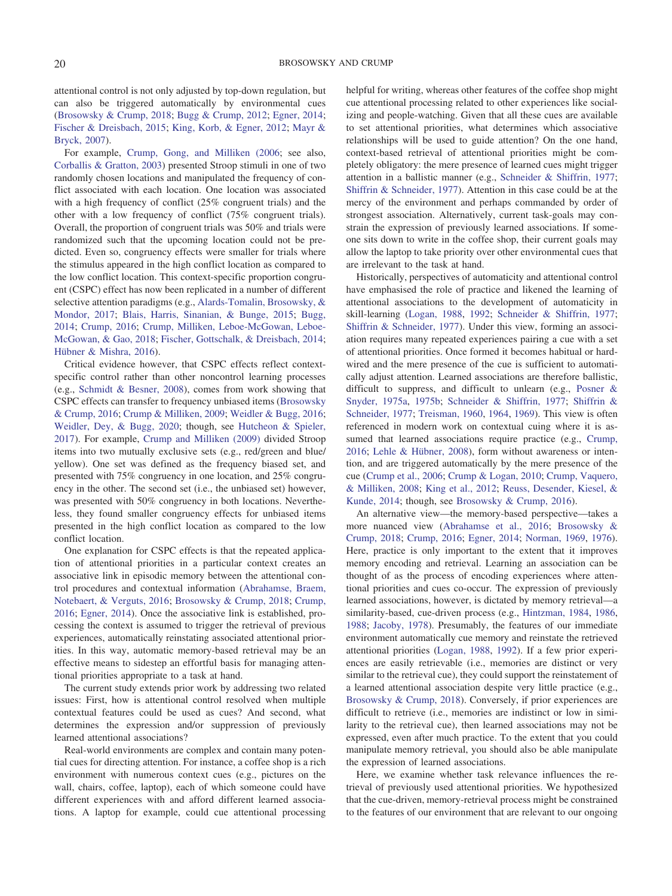attentional control is not only adjusted by top-down regulation, but can also be triggered automatically by environmental cues [\(Brosowsky & Crump, 2018;](#page-12-0) [Bugg & Crump, 2012;](#page-12-1) [Egner, 2014;](#page-13-5) [Fischer & Dreisbach, 2015;](#page-13-6) [King, Korb, & Egner, 2012;](#page-13-7) [Mayr &](#page-14-2) [Bryck, 2007\)](#page-14-2).

For example, [Crump, Gong, and Milliken \(2006;](#page-13-8) see also, [Corballis & Gratton, 2003\)](#page-12-2) presented Stroop stimuli in one of two randomly chosen locations and manipulated the frequency of conflict associated with each location. One location was associated with a high frequency of conflict (25% congruent trials) and the other with a low frequency of conflict (75% congruent trials). Overall, the proportion of congruent trials was 50% and trials were randomized such that the upcoming location could not be predicted. Even so, congruency effects were smaller for trials where the stimulus appeared in the high conflict location as compared to the low conflict location. This context-specific proportion congruent (CSPC) effect has now been replicated in a number of different selective attention paradigms (e.g., [Alards-Tomalin, Brosowsky, &](#page-12-3) [Mondor, 2017;](#page-12-3) [Blais, Harris, Sinanian, & Bunge, 2015;](#page-12-4) [Bugg,](#page-12-5) [2014;](#page-12-5) [Crump, 2016;](#page-13-9) [Crump, Milliken, Leboe-McGowan, Leboe-](#page-13-10)[McGowan, & Gao, 2018;](#page-13-10) [Fischer, Gottschalk, & Dreisbach, 2014;](#page-13-11) [Hübner & Mishra, 2016\)](#page-13-12).

Critical evidence however, that CSPC effects reflect contextspecific control rather than other noncontrol learning processes (e.g., [Schmidt & Besner, 2008\)](#page-14-3), comes from work showing that CSPC effects can transfer to frequency unbiased items [\(Brosowsky](#page-12-6) [& Crump, 2016;](#page-12-6) [Crump & Milliken, 2009;](#page-13-13) [Weidler & Bugg, 2016;](#page-14-4) [Weidler, Dey, & Bugg, 2020;](#page-14-5) though, see [Hutcheon & Spieler,](#page-13-14) [2017\)](#page-13-14). For example, [Crump and Milliken \(2009\)](#page-13-13) divided Stroop items into two mutually exclusive sets (e.g., red/green and blue/ yellow). One set was defined as the frequency biased set, and presented with 75% congruency in one location, and 25% congruency in the other. The second set (i.e., the unbiased set) however, was presented with 50% congruency in both locations. Nevertheless, they found smaller congruency effects for unbiased items presented in the high conflict location as compared to the low conflict location.

One explanation for CSPC effects is that the repeated application of attentional priorities in a particular context creates an associative link in episodic memory between the attentional control procedures and contextual information [\(Abrahamse, Braem,](#page-12-7) [Notebaert, & Verguts, 2016;](#page-12-7) [Brosowsky & Crump, 2018;](#page-12-0) [Crump,](#page-13-9) [2016;](#page-13-9) [Egner, 2014\)](#page-13-5). Once the associative link is established, processing the context is assumed to trigger the retrieval of previous experiences, automatically reinstating associated attentional priorities. In this way, automatic memory-based retrieval may be an effective means to sidestep an effortful basis for managing attentional priorities appropriate to a task at hand.

The current study extends prior work by addressing two related issues: First, how is attentional control resolved when multiple contextual features could be used as cues? And second, what determines the expression and/or suppression of previously learned attentional associations?

Real-world environments are complex and contain many potential cues for directing attention. For instance, a coffee shop is a rich environment with numerous context cues (e.g., pictures on the wall, chairs, coffee, laptop), each of which someone could have different experiences with and afford different learned associations. A laptop for example, could cue attentional processing

helpful for writing, whereas other features of the coffee shop might cue attentional processing related to other experiences like socializing and people-watching. Given that all these cues are available to set attentional priorities, what determines which associative relationships will be used to guide attention? On the one hand, context-based retrieval of attentional priorities might be completely obligatory: the mere presence of learned cues might trigger attention in a ballistic manner (e.g., [Schneider & Shiffrin, 1977;](#page-14-6) [Shiffrin & Schneider, 1977\)](#page-14-7). Attention in this case could be at the mercy of the environment and perhaps commanded by order of strongest association. Alternatively, current task-goals may constrain the expression of previously learned associations. If someone sits down to write in the coffee shop, their current goals may allow the laptop to take priority over other environmental cues that are irrelevant to the task at hand.

Historically, perspectives of automaticity and attentional control have emphasised the role of practice and likened the learning of attentional associations to the development of automaticity in skill-learning [\(Logan, 1988,](#page-13-15) [1992;](#page-13-16) [Schneider & Shiffrin, 1977;](#page-14-6) [Shiffrin & Schneider, 1977\)](#page-14-7). Under this view, forming an association requires many repeated experiences pairing a cue with a set of attentional priorities. Once formed it becomes habitual or hardwired and the mere presence of the cue is sufficient to automatically adjust attention. Learned associations are therefore ballistic, difficult to suppress, and difficult to unlearn (e.g., [Posner &](#page-14-8) [Snyder, 1975a,](#page-14-8) [1975b;](#page-14-9) [Schneider & Shiffrin, 1977;](#page-14-6) [Shiffrin &](#page-14-7) [Schneider, 1977;](#page-14-7) [Treisman, 1960,](#page-14-10) [1964,](#page-14-11) [1969\)](#page-14-12). This view is often referenced in modern work on contextual cuing where it is as-sumed that learned associations require practice (e.g., [Crump,](#page-13-9) [2016;](#page-13-9) [Lehle & Hübner, 2008\)](#page-13-17), form without awareness or intention, and are triggered automatically by the mere presence of the cue [\(Crump et al., 2006;](#page-13-8) [Crump & Logan, 2010;](#page-13-18) [Crump, Vaquero,](#page-13-19) [& Milliken, 2008;](#page-13-19) [King et al., 2012;](#page-13-7) [Reuss, Desender, Kiesel, &](#page-14-13) [Kunde, 2014;](#page-14-13) though, see [Brosowsky & Crump, 2016\)](#page-12-6).

An alternative view—the memory-based perspective—takes a more nuanced view [\(Abrahamse et al., 2016;](#page-12-7) [Brosowsky &](#page-12-0) [Crump, 2018;](#page-12-0) [Crump, 2016;](#page-13-9) [Egner, 2014;](#page-13-5) [Norman, 1969,](#page-14-14) [1976\)](#page-14-15). Here, practice is only important to the extent that it improves memory encoding and retrieval. Learning an association can be thought of as the process of encoding experiences where attentional priorities and cues co-occur. The expression of previously learned associations, however, is dictated by memory retrieval—a similarity-based, cue-driven process (e.g., [Hintzman, 1984,](#page-13-20) [1986,](#page-13-21) [1988;](#page-13-22) [Jacoby, 1978\)](#page-13-23). Presumably, the features of our immediate environment automatically cue memory and reinstate the retrieved attentional priorities [\(Logan, 1988,](#page-13-15) [1992\)](#page-13-16). If a few prior experiences are easily retrievable (i.e., memories are distinct or very similar to the retrieval cue), they could support the reinstatement of a learned attentional association despite very little practice (e.g., [Brosowsky & Crump, 2018\)](#page-12-0). Conversely, if prior experiences are difficult to retrieve (i.e., memories are indistinct or low in similarity to the retrieval cue), then learned associations may not be expressed, even after much practice. To the extent that you could manipulate memory retrieval, you should also be able manipulate the expression of learned associations.

Here, we examine whether task relevance influences the retrieval of previously used attentional priorities. We hypothesized that the cue-driven, memory-retrieval process might be constrained to the features of our environment that are relevant to our ongoing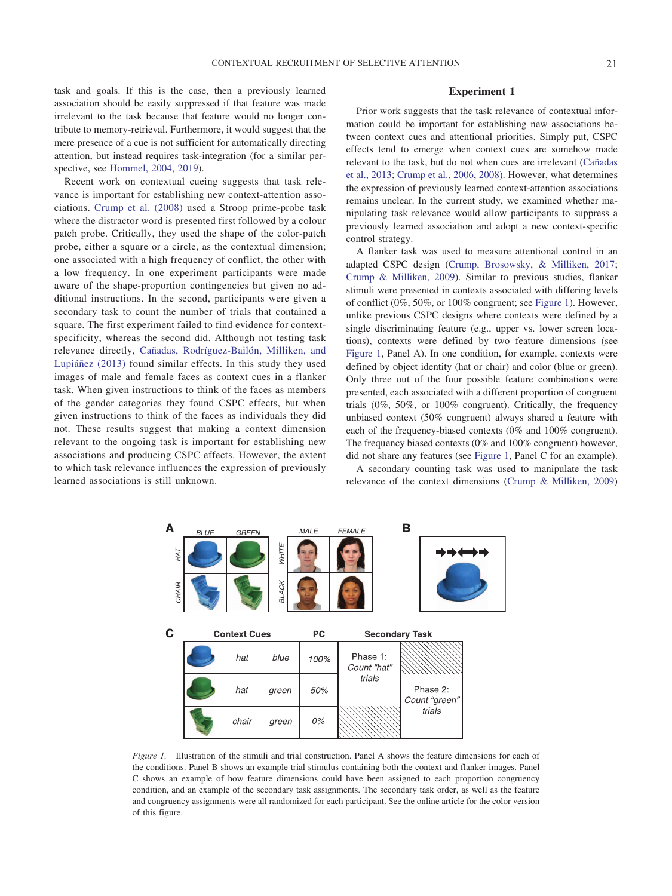task and goals. If this is the case, then a previously learned association should be easily suppressed if that feature was made irrelevant to the task because that feature would no longer contribute to memory-retrieval. Furthermore, it would suggest that the mere presence of a cue is not sufficient for automatically directing attention, but instead requires task-integration (for a similar perspective, see [Hommel, 2004,](#page-13-24) [2019\)](#page-13-25).

Recent work on contextual cueing suggests that task relevance is important for establishing new context-attention associations. [Crump et al. \(2008\)](#page-13-19) used a Stroop prime-probe task where the distractor word is presented first followed by a colour patch probe. Critically, they used the shape of the color-patch probe, either a square or a circle, as the contextual dimension; one associated with a high frequency of conflict, the other with a low frequency. In one experiment participants were made aware of the shape-proportion contingencies but given no additional instructions. In the second, participants were given a secondary task to count the number of trials that contained a square. The first experiment failed to find evidence for contextspecificity, whereas the second did. Although not testing task relevance directly, [Cañadas, Rodríguez-Bailón, Milliken, and](#page-12-8) [Lupiáñez \(2013\)](#page-12-8) found similar effects. In this study they used images of male and female faces as context cues in a flanker task. When given instructions to think of the faces as members of the gender categories they found CSPC effects, but when given instructions to think of the faces as individuals they did not. These results suggest that making a context dimension relevant to the ongoing task is important for establishing new associations and producing CSPC effects. However, the extent to which task relevance influences the expression of previously learned associations is still unknown.

# **Experiment 1**

Prior work suggests that the task relevance of contextual information could be important for establishing new associations between context cues and attentional priorities. Simply put, CSPC effects tend to emerge when context cues are somehow made relevant to the task, but do not when cues are irrelevant [\(Cañadas](#page-12-8) [et al., 2013;](#page-12-8) [Crump et al., 2006,](#page-13-8) [2008\)](#page-13-19). However, what determines the expression of previously learned context-attention associations remains unclear. In the current study, we examined whether manipulating task relevance would allow participants to suppress a previously learned association and adopt a new context-specific control strategy.

A flanker task was used to measure attentional control in an adapted CSPC design [\(Crump, Brosowsky, & Milliken, 2017;](#page-13-26) [Crump & Milliken, 2009\)](#page-13-13). Similar to previous studies, flanker stimuli were presented in contexts associated with differing levels of conflict (0%, 50%, or 100% congruent; see [Figure 1\)](#page-2-0). However, unlike previous CSPC designs where contexts were defined by a single discriminating feature (e.g., upper vs. lower screen locations), contexts were defined by two feature dimensions (see [Figure 1,](#page-2-0) Panel A). In one condition, for example, contexts were defined by object identity (hat or chair) and color (blue or green). Only three out of the four possible feature combinations were presented, each associated with a different proportion of congruent trials (0%, 50%, or 100% congruent). Critically, the frequency unbiased context (50% congruent) always shared a feature with each of the frequency-biased contexts (0% and 100% congruent). The frequency biased contexts (0% and 100% congruent) however, did not share any features (see [Figure 1,](#page-2-0) Panel C for an example).

A secondary counting task was used to manipulate the task relevance of the context dimensions [\(Crump & Milliken, 2009\)](#page-13-13)



<span id="page-2-0"></span>*Figure 1.* Illustration of the stimuli and trial construction. Panel A shows the feature dimensions for each of the conditions. Panel B shows an example trial stimulus containing both the context and flanker images. Panel C shows an example of how feature dimensions could have been assigned to each proportion congruency condition, and an example of the secondary task assignments. The secondary task order, as well as the feature and congruency assignments were all randomized for each participant. See the online article for the color version of this figure.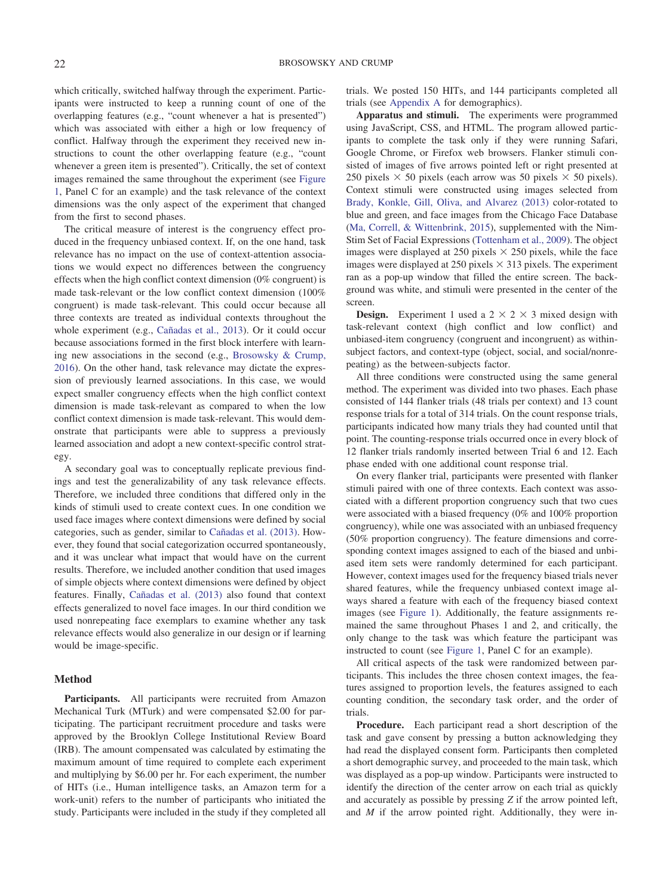which critically, switched halfway through the experiment. Participants were instructed to keep a running count of one of the overlapping features (e.g., "count whenever a hat is presented") which was associated with either a high or low frequency of conflict. Halfway through the experiment they received new instructions to count the other overlapping feature (e.g., "count whenever a green item is presented"). Critically, the set of context images remained the same throughout the experiment (see [Figure](#page-2-0) [1,](#page-2-0) Panel C for an example) and the task relevance of the context dimensions was the only aspect of the experiment that changed from the first to second phases.

The critical measure of interest is the congruency effect produced in the frequency unbiased context. If, on the one hand, task relevance has no impact on the use of context-attention associations we would expect no differences between the congruency effects when the high conflict context dimension (0% congruent) is made task-relevant or the low conflict context dimension (100% congruent) is made task-relevant. This could occur because all three contexts are treated as individual contexts throughout the whole experiment (e.g., [Cañadas et al., 2013\)](#page-12-8). Or it could occur because associations formed in the first block interfere with learning new associations in the second (e.g., [Brosowsky & Crump,](#page-12-6) [2016\)](#page-12-6). On the other hand, task relevance may dictate the expression of previously learned associations. In this case, we would expect smaller congruency effects when the high conflict context dimension is made task-relevant as compared to when the low conflict context dimension is made task-relevant. This would demonstrate that participants were able to suppress a previously learned association and adopt a new context-specific control strategy.

A secondary goal was to conceptually replicate previous findings and test the generalizability of any task relevance effects. Therefore, we included three conditions that differed only in the kinds of stimuli used to create context cues. In one condition we used face images where context dimensions were defined by social categories, such as gender, similar to [Cañadas et al. \(2013\).](#page-12-8) However, they found that social categorization occurred spontaneously, and it was unclear what impact that would have on the current results. Therefore, we included another condition that used images of simple objects where context dimensions were defined by object features. Finally, [Cañadas et al. \(2013\)](#page-12-8) also found that context effects generalized to novel face images. In our third condition we used nonrepeating face exemplars to examine whether any task relevance effects would also generalize in our design or if learning would be image-specific.

# **Method**

**Participants.** All participants were recruited from Amazon Mechanical Turk (MTurk) and were compensated \$2.00 for participating. The participant recruitment procedure and tasks were approved by the Brooklyn College Institutional Review Board (IRB). The amount compensated was calculated by estimating the maximum amount of time required to complete each experiment and multiplying by \$6.00 per hr. For each experiment, the number of HITs (i.e., Human intelligence tasks, an Amazon term for a work-unit) refers to the number of participants who initiated the study. Participants were included in the study if they completed all trials. We posted 150 HITs, and 144 participants completed all trials (see [Appendix A](#page-15-0) for demographics).

**Apparatus and stimuli.** The experiments were programmed using JavaScript, CSS, and HTML. The program allowed participants to complete the task only if they were running Safari, Google Chrome, or Firefox web browsers. Flanker stimuli consisted of images of five arrows pointed left or right presented at 250 pixels  $\times$  50 pixels (each arrow was 50 pixels  $\times$  50 pixels). Context stimuli were constructed using images selected from [Brady, Konkle, Gill, Oliva, and Alvarez \(2013\)](#page-12-9) color-rotated to blue and green, and face images from the Chicago Face Database [\(Ma, Correll, & Wittenbrink, 2015\)](#page-13-27), supplemented with the Nim-Stim Set of Facial Expressions [\(Tottenham et al., 2009\)](#page-14-16). The object images were displayed at 250 pixels  $\times$  250 pixels, while the face images were displayed at 250 pixels  $\times$  313 pixels. The experiment ran as a pop-up window that filled the entire screen. The background was white, and stimuli were presented in the center of the screen.

**Design.** Experiment 1 used a  $2 \times 2 \times 3$  mixed design with task-relevant context (high conflict and low conflict) and unbiased-item congruency (congruent and incongruent) as withinsubject factors, and context-type (object, social, and social/nonrepeating) as the between-subjects factor.

All three conditions were constructed using the same general method. The experiment was divided into two phases. Each phase consisted of 144 flanker trials (48 trials per context) and 13 count response trials for a total of 314 trials. On the count response trials, participants indicated how many trials they had counted until that point. The counting-response trials occurred once in every block of 12 flanker trials randomly inserted between Trial 6 and 12. Each phase ended with one additional count response trial.

On every flanker trial, participants were presented with flanker stimuli paired with one of three contexts. Each context was associated with a different proportion congruency such that two cues were associated with a biased frequency (0% and 100% proportion congruency), while one was associated with an unbiased frequency (50% proportion congruency). The feature dimensions and corresponding context images assigned to each of the biased and unbiased item sets were randomly determined for each participant. However, context images used for the frequency biased trials never shared features, while the frequency unbiased context image always shared a feature with each of the frequency biased context images (see [Figure 1\)](#page-2-0). Additionally, the feature assignments remained the same throughout Phases 1 and 2, and critically, the only change to the task was which feature the participant was instructed to count (see [Figure 1,](#page-2-0) Panel C for an example).

All critical aspects of the task were randomized between participants. This includes the three chosen context images, the features assigned to proportion levels, the features assigned to each counting condition, the secondary task order, and the order of trials.

**Procedure.** Each participant read a short description of the task and gave consent by pressing a button acknowledging they had read the displayed consent form. Participants then completed a short demographic survey, and proceeded to the main task, which was displayed as a pop-up window. Participants were instructed to identify the direction of the center arrow on each trial as quickly and accurately as possible by pressing *Z* if the arrow pointed left, and *M* if the arrow pointed right. Additionally, they were in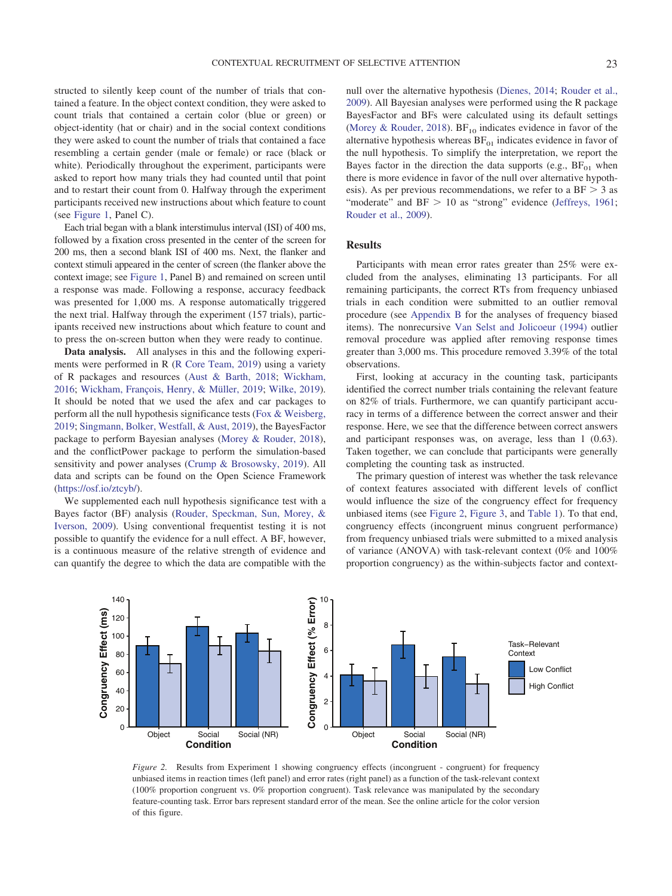structed to silently keep count of the number of trials that contained a feature. In the object context condition, they were asked to count trials that contained a certain color (blue or green) or object-identity (hat or chair) and in the social context conditions they were asked to count the number of trials that contained a face resembling a certain gender (male or female) or race (black or white). Periodically throughout the experiment, participants were asked to report how many trials they had counted until that point and to restart their count from 0. Halfway through the experiment participants received new instructions about which feature to count (see [Figure 1,](#page-2-0) Panel C).

Each trial began with a blank interstimulus interval (ISI) of 400 ms, followed by a fixation cross presented in the center of the screen for 200 ms, then a second blank ISI of 400 ms. Next, the flanker and context stimuli appeared in the center of screen (the flanker above the context image; see [Figure 1,](#page-2-0) Panel B) and remained on screen until a response was made. Following a response, accuracy feedback was presented for 1,000 ms. A response automatically triggered the next trial. Halfway through the experiment (157 trials), participants received new instructions about which feature to count and to press the on-screen button when they were ready to continue.

**Data analysis.** All analyses in this and the following experiments were performed in R [\(R Core Team, 2019\)](#page-14-17) using a variety of R packages and resources [\(Aust & Barth, 2018;](#page-12-10) [Wickham,](#page-14-18) [2016;](#page-14-18) [Wickham, François, Henry, & Müller, 2019;](#page-14-19) [Wilke, 2019\)](#page-14-20). It should be noted that we used the afex and car packages to perform all the null hypothesis significance tests [\(Fox & Weisberg,](#page-13-28) [2019;](#page-13-28) [Singmann, Bolker, Westfall, & Aust, 2019\)](#page-14-21), the BayesFactor package to perform Bayesian analyses [\(Morey & Rouder, 2018\)](#page-14-22), and the conflictPower package to perform the simulation-based sensitivity and power analyses [\(Crump & Brosowsky, 2019\)](#page-13-29). All data and scripts can be found on the Open Science Framework [\(https://osf.io/ztcyb/\)](https://osf.io/ztcyb/).

We supplemented each null hypothesis significance test with a Bayes factor (BF) analysis [\(Rouder, Speckman, Sun, Morey, &](#page-14-23) [Iverson, 2009\)](#page-14-23). Using conventional frequentist testing it is not possible to quantify the evidence for a null effect. A BF, however, is a continuous measure of the relative strength of evidence and can quantify the degree to which the data are compatible with the null over the alternative hypothesis [\(Dienes, 2014;](#page-13-30) [Rouder et al.,](#page-14-23) [2009\)](#page-14-23). All Bayesian analyses were performed using the R package BayesFactor and BFs were calculated using its default settings [\(Morey & Rouder, 2018\)](#page-14-22).  $BF_{10}$  indicates evidence in favor of the alternative hypothesis whereas  $BF_{01}$  indicates evidence in favor of the null hypothesis. To simplify the interpretation, we report the Bayes factor in the direction the data supports (e.g.,  $BF_{01}$  when there is more evidence in favor of the null over alternative hypothesis). As per previous recommendations, we refer to a  $BF > 3$  as "moderate" and  $BF > 10$  as "strong" evidence [\(Jeffreys, 1961;](#page-13-31) [Rouder et al., 2009\)](#page-14-23).

## **Results**

Participants with mean error rates greater than 25% were excluded from the analyses, eliminating 13 participants. For all remaining participants, the correct RTs from frequency unbiased trials in each condition were submitted to an outlier removal procedure (see [Appendix B](#page-15-1) for the analyses of frequency biased items). The nonrecursive [Van Selst and Jolicoeur \(1994\)](#page-14-24) outlier removal procedure was applied after removing response times greater than 3,000 ms. This procedure removed 3.39% of the total observations.

First, looking at accuracy in the counting task, participants identified the correct number trials containing the relevant feature on 82% of trials. Furthermore, we can quantify participant accuracy in terms of a difference between the correct answer and their response. Here, we see that the difference between correct answers and participant responses was, on average, less than 1 (0.63). Taken together, we can conclude that participants were generally completing the counting task as instructed.

The primary question of interest was whether the task relevance of context features associated with different levels of conflict would influence the size of the congruency effect for frequency unbiased items (see [Figure 2,](#page-4-0) [Figure 3,](#page-5-0) and [Table 1\)](#page-5-1). To that end, congruency effects (incongruent minus congruent performance) from frequency unbiased trials were submitted to a mixed analysis of variance (ANOVA) with task-relevant context (0% and 100% proportion congruency) as the within-subjects factor and context-



<span id="page-4-0"></span>*Figure 2.* Results from Experiment 1 showing congruency effects (incongruent - congruent) for frequency unbiased items in reaction times (left panel) and error rates (right panel) as a function of the task-relevant context (100% proportion congruent vs. 0% proportion congruent). Task relevance was manipulated by the secondary feature-counting task. Error bars represent standard error of the mean. See the online article for the color version of this figure.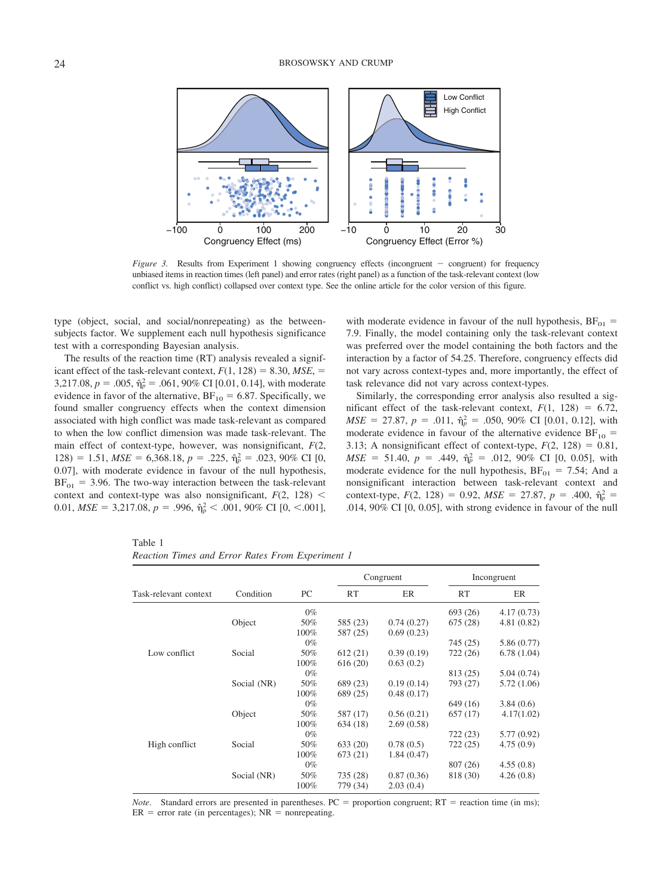

<span id="page-5-0"></span>*Figure 3.* Results from Experiment 1 showing congruency effects (incongruent - congruent) for frequency unbiased items in reaction times (left panel) and error rates (right panel) as a function of the task-relevant context (low conflict vs. high conflict) collapsed over context type. See the online article for the color version of this figure.

type (object, social, and social/nonrepeating) as the betweensubjects factor. We supplement each null hypothesis significance test with a corresponding Bayesian analysis.

The results of the reaction time (RT) analysis revealed a significant effect of the task-relevant context,  $F(1, 128) = 8.30$ ,  $MSE$ ,  $=$ 3,217.08,  $p = .005$ ,  $\hat{\eta}_p^2 = .061$ , 90% CI [0.01, 0.14], with moderate evidence in favor of the alternative,  $BF_{10} = 6.87$ . Specifically, we found smaller congruency effects when the context dimension associated with high conflict was made task-relevant as compared to when the low conflict dimension was made task-relevant. The main effect of context-type, however, was nonsignificant, *F*(2, 128) = 1.51,  $MSE = 6,368.18$ ,  $p = .225$ ,  $\hat{\eta}_p^2 = .023$ , 90% CI [0, 0.07], with moderate evidence in favour of the null hypothesis,  $BF_{01} = 3.96$ . The two-way interaction between the task-relevant context and context-type was also nonsignificant,  $F(2, 128)$  < 0.01,  $MSE = 3,217.08$ ,  $p = .996$ ,  $\hat{\eta}_p^2 < .001$ , 90% CI [0, <.001],

with moderate evidence in favour of the null hypothesis,  $BF_{01}$  = 7.9. Finally, the model containing only the task-relevant context was preferred over the model containing the both factors and the interaction by a factor of 54.25. Therefore, congruency effects did not vary across context-types and, more importantly, the effect of task relevance did not vary across context-types.

Similarly, the corresponding error analysis also resulted a significant effect of the task-relevant context,  $F(1, 128) = 6.72$ ,  $MSE = 27.87$ ,  $p = .011$ ,  $\hat{\eta}_p^2 = .050$ , 90% CI [0.01, 0.12], with moderate evidence in favour of the alternative evidence  $BF_{10}$  = 3.13; A nonsignificant effect of context-type,  $F(2, 128) = 0.81$ ,  $MSE = 51.40, p = .449, \hat{\eta}_p^2 = .012, 90\% \text{ CI} [0, 0.05], \text{ with}$ moderate evidence for the null hypothesis,  $BF_{01} = 7.54$ ; And a nonsignificant interaction between task-relevant context and context-type,  $F(2, 128) = 0.92$ ,  $MSE = 27.87$ ,  $p = .400$ ,  $\hat{\eta}_p^2 =$ .014, 90% CI [0, 0.05], with strong evidence in favour of the null

|                       |             | PC    | Congruent |            | Incongruent |            |
|-----------------------|-------------|-------|-----------|------------|-------------|------------|
| Task-relevant context | Condition   |       | <b>RT</b> | ER         | <b>RT</b>   | ER         |
|                       |             | $0\%$ |           |            | 693 (26)    | 4.17(0.73) |
|                       | Object      | 50%   | 585 (23)  | 0.74(0.27) | 675 (28)    | 4.81(0.82) |
|                       |             | 100%  | 587 (25)  | 0.69(0.23) |             |            |
|                       |             | $0\%$ |           |            | 745 (25)    | 5.86(0.77) |
| Low conflict          | Social      | 50%   | 612(21)   | 0.39(0.19) | 722 (26)    | 6.78(1.04) |
|                       |             | 100%  | 616(20)   | 0.63(0.2)  |             |            |
|                       |             | $0\%$ |           |            | 813 (25)    | 5.04(0.74) |
|                       | Social (NR) | 50%   | 689 (23)  | 0.19(0.14) | 793 (27)    | 5.72(1.06) |
|                       |             | 100%  | 689 (25)  | 0.48(0.17) |             |            |
|                       |             | $0\%$ |           |            | 649 (16)    | 3.84(0.6)  |
|                       | Object      | 50%   | 587 (17)  | 0.56(0.21) | 657(17)     | 4.17(1.02) |
|                       |             | 100%  | 634 (18)  | 2.69(0.58) |             |            |
|                       |             | $0\%$ |           |            | 722(23)     | 5.77(0.92) |
| High conflict         | Social      | 50%   | 633 (20)  | 0.78(0.5)  | 722 (25)    | 4.75(0.9)  |
|                       |             | 100%  | 673 (21)  | 1.84(0.47) |             |            |
|                       |             | $0\%$ |           |            | 807 (26)    | 4.55(0.8)  |
|                       | Social (NR) | 50%   | 735 (28)  | 0.87(0.36) | 818 (30)    | 4.26(0.8)  |
|                       |             | 100%  | 779 (34)  | 2.03(0.4)  |             |            |

<span id="page-5-1"></span>Table 1 *Reaction Times and Error Rates From Experiment 1*

*Note*. Standard errors are presented in parentheses.  $PC =$  proportion congruent;  $RT =$  reaction time (in ms);  $ER$  = error rate (in percentages);  $NR$  = nonrepeating.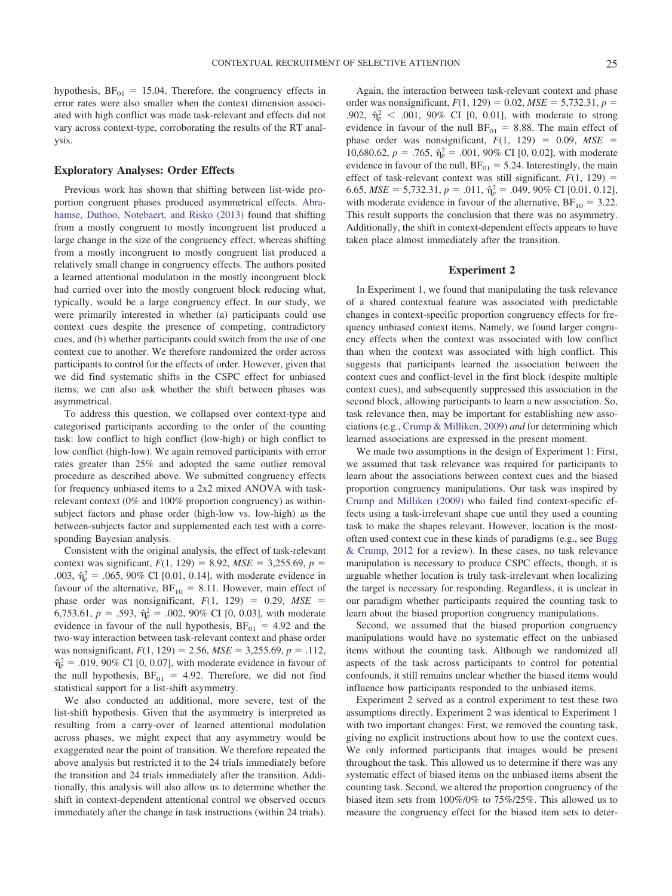hypothesis,  $BF_{01} = 15.04$ . Therefore, the congruency effects in error rates were also smaller when the context dimension associated with high conflict was made task-relevant and effects did not vary across context-type, corroborating the results of the RT analysis.

# **Exploratory Analyses: Order Effects**

Previous work has shown that shifting between list-wide proportion congruent phases produced asymmetrical effects. [Abra](#page-12-11)[hamse, Duthoo, Notebaert, and Risko \(2013\)](#page-12-11) found that shifting from a mostly congruent to mostly incongruent list produced a large change in the size of the congruency effect, whereas shifting from a mostly incongruent to mostly congruent list produced a relatively small change in congruency effects. The authors posited a learned attentional modulation in the mostly incongruent block had carried over into the mostly congruent block reducing what, typically, would be a large congruency effect. In our study, we were primarily interested in whether (a) participants could use context cues despite the presence of competing, contradictory cues, and (b) whether participants could switch from the use of one context cue to another. We therefore randomized the order across participants to control for the effects of order. However, given that we did find systematic shifts in the CSPC effect for unbiased items, we can also ask whether the shift between phases was asymmetrical.

To address this question, we collapsed over context-type and categorised participants according to the order of the counting task: low conflict to high conflict (low-high) or high conflict to low conflict (high-low). We again removed participants with error rates greater than 25% and adopted the same outlier removal procedure as described above. We submitted congruency effects for frequency unbiased items to a 2x2 mixed ANOVA with taskrelevant context (0% and 100% proportion congruency) as withinsubject factors and phase order (high-low vs. low-high) as the between-subjects factor and supplemented each test with a corresponding Bayesian analysis.

Consistent with the original analysis, the effect of task-relevant context was significant,  $F(1, 129) = 8.92$ ,  $MSE = 3,255.69$ ,  $p =$ .003,  $\hat{\eta}_p^2 = .065, 90\%$  CI [0.01, 0.14], with moderate evidence in favour of the alternative,  $BF_{10} = 8.11$ . However, main effect of phase order was nonsignificant,  $F(1, 129) = 0.29$ ,  $MSE =$ 6,753.61,  $p = .593$ ,  $\hat{\eta}_p^2 = .002$ , 90% CI [0, 0.03], with moderate evidence in favour of the null hypothesis,  $BF_{01} = 4.92$  and the two-way interaction between task-relevant context and phase order was nonsignificant,  $F(1, 129) = 2.56$ ,  $MSE = 3,255.69$ ,  $p = .112$ ,  $\hat{\eta}_p^2 = .019,90\%$  CI [0, 0.07], with moderate evidence in favour of the null hypothesis,  $BF_{01} = 4.92$ . Therefore, we did not find statistical support for a list-shift asymmetry.

We also conducted an additional, more severe, test of the list-shift hypothesis. Given that the asymmetry is interpreted as resulting from a carry-over of learned attentional modulation across phases, we might expect that any asymmetry would be exaggerated near the point of transition. We therefore repeated the above analysis but restricted it to the 24 trials immediately before the transition and 24 trials immediately after the transition. Additionally, this analysis will also allow us to determine whether the shift in context-dependent attentional control we observed occurs immediately after the change in task instructions (within 24 trials).

Again, the interaction between task-relevant context and phase order was nonsignificant,  $F(1, 129) = 0.02$ ,  $MSE = 5,732.31$ ,  $p =$ .902,  $\hat{\eta}_p^2$  < .001, 90% CI [0, 0.01], with moderate to strong evidence in favour of the null  $BF_{01} = 8.88$ . The main effect of phase order was nonsignificant,  $F(1, 129) = 0.09$ ,  $MSE =$ 10,680.62,  $p = .765$ ,  $\hat{\eta}_p^2 = .001$ , 90% CI [0, 0.02], with moderate evidence in favour of the null,  $BF_{01} = 5.24$ . Interestingly, the main effect of task-relevant context was still significant,  $F(1, 129) =$ 6.65,  $MSE = 5,732.31, p = .011, \hat{\eta}_p^2 = .049, 90\% \text{ CI} [0.01, 0.12],$ with moderate evidence in favour of the alternative,  $BF_{10} = 3.22$ . This result supports the conclusion that there was no asymmetry. Additionally, the shift in context-dependent effects appears to have taken place almost immediately after the transition.

#### **Experiment 2**

In Experiment 1, we found that manipulating the task relevance of a shared contextual feature was associated with predictable changes in context-specific proportion congruency effects for frequency unbiased context items. Namely, we found larger congruency effects when the context was associated with low conflict than when the context was associated with high conflict. This suggests that participants learned the association between the context cues and conflict-level in the first block (despite multiple context cues), and subsequently suppressed this association in the second block, allowing participants to learn a new association. So, task relevance then, may be important for establishing new associations (e.g., [Crump & Milliken, 2009\)](#page-13-13) *and* for determining which learned associations are expressed in the present moment.

We made two assumptions in the design of Experiment 1: First, we assumed that task relevance was required for participants to learn about the associations between context cues and the biased proportion congruency manipulations. Our task was inspired by [Crump and Milliken \(2009\)](#page-13-13) who failed find context-specific effects using a task-irrelevant shape cue until they used a counting task to make the shapes relevant. However, location is the mostoften used context cue in these kinds of paradigms (e.g., see [Bugg](#page-12-1) [& Crump, 2012](#page-12-1) for a review). In these cases, no task relevance manipulation is necessary to produce CSPC effects, though, it is arguable whether location is truly task-irrelevant when localizing the target is necessary for responding. Regardless, it is unclear in our paradigm whether participants required the counting task to learn about the biased proportion congruency manipulations.

Second, we assumed that the biased proportion congruency manipulations would have no systematic effect on the unbiased items without the counting task. Although we randomized all aspects of the task across participants to control for potential confounds, it still remains unclear whether the biased items would influence how participants responded to the unbiased items.

Experiment 2 served as a control experiment to test these two assumptions directly. Experiment 2 was identical to Experiment 1 with two important changes: First, we removed the counting task, giving no explicit instructions about how to use the context cues. We only informed participants that images would be present throughout the task. This allowed us to determine if there was any systematic effect of biased items on the unbiased items absent the counting task. Second, we altered the proportion congruency of the biased item sets from 100%/0% to 75%/25%. This allowed us to measure the congruency effect for the biased item sets to deter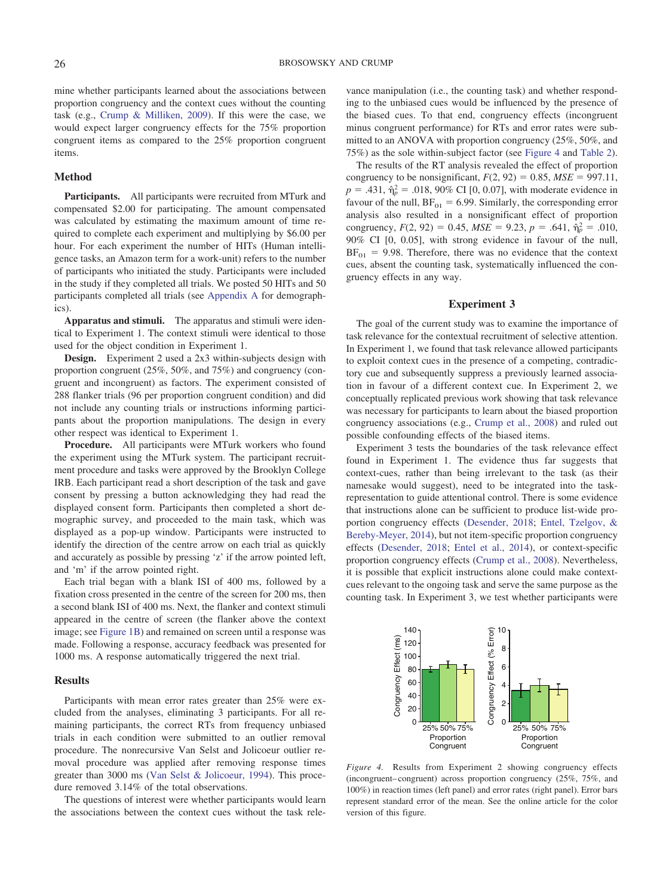mine whether participants learned about the associations between proportion congruency and the context cues without the counting task (e.g., [Crump & Milliken, 2009\)](#page-13-13). If this were the case, we would expect larger congruency effects for the 75% proportion congruent items as compared to the 25% proportion congruent items.

## **Method**

**Participants.** All participants were recruited from MTurk and compensated \$2.00 for participating. The amount compensated was calculated by estimating the maximum amount of time required to complete each experiment and multiplying by \$6.00 per hour. For each experiment the number of HITs (Human intelligence tasks, an Amazon term for a work-unit) refers to the number of participants who initiated the study. Participants were included in the study if they completed all trials. We posted 50 HITs and 50 participants completed all trials (see [Appendix A](#page-15-0) for demographics).

**Apparatus and stimuli.** The apparatus and stimuli were identical to Experiment 1. The context stimuli were identical to those used for the object condition in Experiment 1.

**Design.** Experiment 2 used a 2x3 within-subjects design with proportion congruent (25%, 50%, and 75%) and congruency (congruent and incongruent) as factors. The experiment consisted of 288 flanker trials (96 per proportion congruent condition) and did not include any counting trials or instructions informing participants about the proportion manipulations. The design in every other respect was identical to Experiment 1.

**Procedure.** All participants were MTurk workers who found the experiment using the MTurk system. The participant recruitment procedure and tasks were approved by the Brooklyn College IRB. Each participant read a short description of the task and gave consent by pressing a button acknowledging they had read the displayed consent form. Participants then completed a short demographic survey, and proceeded to the main task, which was displayed as a pop-up window. Participants were instructed to identify the direction of the centre arrow on each trial as quickly and accurately as possible by pressing 'z' if the arrow pointed left, and 'm' if the arrow pointed right.

Each trial began with a blank ISI of 400 ms, followed by a fixation cross presented in the centre of the screen for 200 ms, then a second blank ISI of 400 ms. Next, the flanker and context stimuli appeared in the centre of screen (the flanker above the context image; see [Figure 1B\)](#page-2-0) and remained on screen until a response was made. Following a response, accuracy feedback was presented for 1000 ms. A response automatically triggered the next trial.

#### **Results**

Participants with mean error rates greater than 25% were excluded from the analyses, eliminating 3 participants. For all remaining participants, the correct RTs from frequency unbiased trials in each condition were submitted to an outlier removal procedure. The nonrecursive Van Selst and Jolicoeur outlier removal procedure was applied after removing response times greater than 3000 ms [\(Van Selst & Jolicoeur, 1994\)](#page-14-24). This procedure removed 3.14% of the total observations.

The questions of interest were whether participants would learn the associations between the context cues without the task rele-

vance manipulation (i.e., the counting task) and whether responding to the unbiased cues would be influenced by the presence of the biased cues. To that end, congruency effects (incongruent minus congruent performance) for RTs and error rates were submitted to an ANOVA with proportion congruency (25%, 50%, and 75%) as the sole within-subject factor (see [Figure 4](#page-7-0) and [Table 2\)](#page-8-0).

The results of the RT analysis revealed the effect of proportion congruency to be nonsignificant,  $F(2, 92) = 0.85$ ,  $MSE = 997.11$ ,  $p = .431$ ,  $\hat{\eta}_p^2 = .018$ , 90% CI [0, 0.07], with moderate evidence in favour of the null,  $BF_{01} = 6.99$ . Similarly, the corresponding error analysis also resulted in a nonsignificant effect of proportion congruency,  $F(2, 92) = 0.45$ ,  $MSE = 9.23$ ,  $p = .641$ ,  $\hat{\eta}_p^2 = .010$ , 90% CI [0, 0.05], with strong evidence in favour of the null,  $BF_{01}$  = 9.98. Therefore, there was no evidence that the context cues, absent the counting task, systematically influenced the congruency effects in any way.

# **Experiment 3**

The goal of the current study was to examine the importance of task relevance for the contextual recruitment of selective attention. In Experiment 1, we found that task relevance allowed participants to exploit context cues in the presence of a competing, contradictory cue and subsequently suppress a previously learned association in favour of a different context cue. In Experiment 2, we conceptually replicated previous work showing that task relevance was necessary for participants to learn about the biased proportion congruency associations (e.g., [Crump et al., 2008\)](#page-13-19) and ruled out possible confounding effects of the biased items.

Experiment 3 tests the boundaries of the task relevance effect found in Experiment 1. The evidence thus far suggests that context-cues, rather than being irrelevant to the task (as their namesake would suggest), need to be integrated into the taskrepresentation to guide attentional control. There is some evidence that instructions alone can be sufficient to produce list-wide proportion congruency effects [\(Desender, 2018;](#page-13-32) [Entel, Tzelgov, &](#page-13-33) [Bereby-Meyer, 2014\)](#page-13-33), but not item-specific proportion congruency effects [\(Desender, 2018;](#page-13-32) [Entel et al., 2014\)](#page-13-33), or context-specific proportion congruency effects [\(Crump et al., 2008\)](#page-13-19). Nevertheless, it is possible that explicit instructions alone could make contextcues relevant to the ongoing task and serve the same purpose as the counting task. In Experiment 3, we test whether participants were



<span id="page-7-0"></span>*Figure 4.* Results from Experiment 2 showing congruency effects (incongruent– congruent) across proportion congruency (25%, 75%, and 100%) in reaction times (left panel) and error rates (right panel). Error bars represent standard error of the mean. See the online article for the color version of this figure.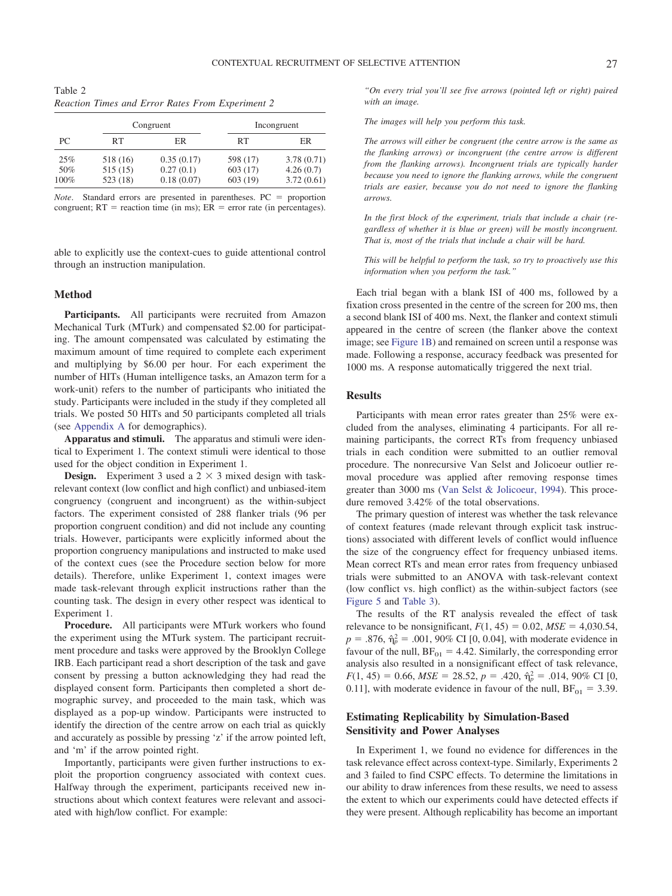<span id="page-8-0"></span>Table 2 *Reaction Times and Error Rates From Experiment 2*

|      |          | Congruent  |          | Incongruent |  |  |
|------|----------|------------|----------|-------------|--|--|
| PC.  | RT       | ER         | RT       | ER          |  |  |
| 25%  | 518 (16) | 0.35(0.17) | 598 (17) | 3.78(0.71)  |  |  |
| 50%  | 515(15)  | 0.27(0.1)  | 603 (17) | 4.26(0.7)   |  |  |
| 100% | 523(18)  | 0.18(0.07) | 603 (19) | 3.72(0.61)  |  |  |

*Note*. Standard errors are presented in parentheses. PC = proportion congruent;  $RT$  = reaction time (in ms);  $ER$  = error rate (in percentages).

able to explicitly use the context-cues to guide attentional control through an instruction manipulation.

#### **Method**

**Participants.** All participants were recruited from Amazon Mechanical Turk (MTurk) and compensated \$2.00 for participating. The amount compensated was calculated by estimating the maximum amount of time required to complete each experiment and multiplying by \$6.00 per hour. For each experiment the number of HITs (Human intelligence tasks, an Amazon term for a work-unit) refers to the number of participants who initiated the study. Participants were included in the study if they completed all trials. We posted 50 HITs and 50 participants completed all trials (see [Appendix A](#page-15-0) for demographics).

**Apparatus and stimuli.** The apparatus and stimuli were identical to Experiment 1. The context stimuli were identical to those used for the object condition in Experiment 1.

**Design.** Experiment 3 used a  $2 \times 3$  mixed design with taskrelevant context (low conflict and high conflict) and unbiased-item congruency (congruent and incongruent) as the within-subject factors. The experiment consisted of 288 flanker trials (96 per proportion congruent condition) and did not include any counting trials. However, participants were explicitly informed about the proportion congruency manipulations and instructed to make used of the context cues (see the Procedure section below for more details). Therefore, unlike Experiment 1, context images were made task-relevant through explicit instructions rather than the counting task. The design in every other respect was identical to Experiment 1.

**Procedure.** All participants were MTurk workers who found the experiment using the MTurk system. The participant recruitment procedure and tasks were approved by the Brooklyn College IRB. Each participant read a short description of the task and gave consent by pressing a button acknowledging they had read the displayed consent form. Participants then completed a short demographic survey, and proceeded to the main task, which was displayed as a pop-up window. Participants were instructed to identify the direction of the centre arrow on each trial as quickly and accurately as possible by pressing 'z' if the arrow pointed left, and 'm' if the arrow pointed right.

Importantly, participants were given further instructions to exploit the proportion congruency associated with context cues. Halfway through the experiment, participants received new instructions about which context features were relevant and associated with high/low conflict. For example:

*"On every trial you'll see five arrows (pointed left or right) paired with an image.*

*The images will help you perform this task.*

*The arrows will either be congruent (the centre arrow is the same as the flanking arrows) or incongruent (the centre arrow is different from the flanking arrows). Incongruent trials are typically harder because you need to ignore the flanking arrows, while the congruent trials are easier, because you do not need to ignore the flanking arrows.*

*In the first block of the experiment, trials that include a chair (regardless of whether it is blue or green) will be mostly incongruent. That is, most of the trials that include a chair will be hard.*

*This will be helpful to perform the task, so try to proactively use this information when you perform the task."*

Each trial began with a blank ISI of 400 ms, followed by a fixation cross presented in the centre of the screen for 200 ms, then a second blank ISI of 400 ms. Next, the flanker and context stimuli appeared in the centre of screen (the flanker above the context image; see [Figure 1B\)](#page-2-0) and remained on screen until a response was made. Following a response, accuracy feedback was presented for 1000 ms. A response automatically triggered the next trial.

# **Results**

Participants with mean error rates greater than 25% were excluded from the analyses, eliminating 4 participants. For all remaining participants, the correct RTs from frequency unbiased trials in each condition were submitted to an outlier removal procedure. The nonrecursive Van Selst and Jolicoeur outlier removal procedure was applied after removing response times greater than 3000 ms [\(Van Selst & Jolicoeur, 1994\)](#page-14-24). This procedure removed 3.42% of the total observations.

The primary question of interest was whether the task relevance of context features (made relevant through explicit task instructions) associated with different levels of conflict would influence the size of the congruency effect for frequency unbiased items. Mean correct RTs and mean error rates from frequency unbiased trials were submitted to an ANOVA with task-relevant context (low conflict vs. high conflict) as the within-subject factors (see [Figure 5](#page-9-0) and [Table 3\)](#page-9-1).

The results of the RT analysis revealed the effect of task relevance to be nonsignificant,  $F(1, 45) = 0.02$ ,  $MSE = 4,030.54$ ,  $p = .876$ ,  $\hat{\eta}_p^2 = .001$ , 90% CI [0, 0.04], with moderate evidence in favour of the null,  $BF_{01} = 4.42$ . Similarly, the corresponding error analysis also resulted in a nonsignificant effect of task relevance,  $F(1, 45) = 0.66$ ,  $MSE = 28.52$ ,  $p = .420$ ,  $\hat{\eta}_p^2 = .014$ , 90% CI [0, 0.11], with moderate evidence in favour of the null,  $BF_{01} = 3.39$ .

# **Estimating Replicability by Simulation-Based Sensitivity and Power Analyses**

In Experiment 1, we found no evidence for differences in the task relevance effect across context-type. Similarly, Experiments 2 and 3 failed to find CSPC effects. To determine the limitations in our ability to draw inferences from these results, we need to assess the extent to which our experiments could have detected effects if they were present. Although replicability has become an important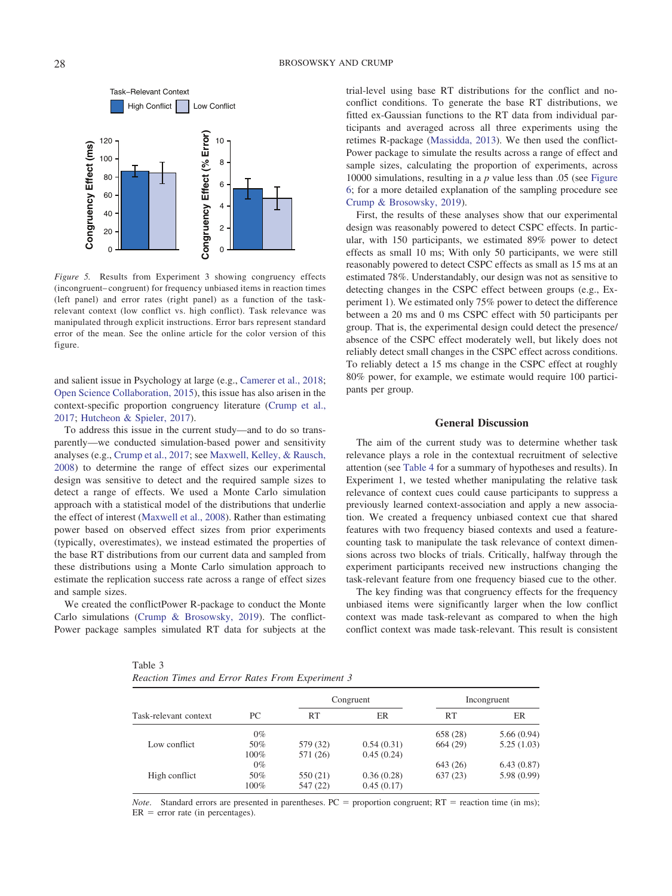

<span id="page-9-0"></span>*Figure 5.* Results from Experiment 3 showing congruency effects (incongruent– congruent) for frequency unbiased items in reaction times (left panel) and error rates (right panel) as a function of the taskrelevant context (low conflict vs. high conflict). Task relevance was manipulated through explicit instructions. Error bars represent standard error of the mean. See the online article for the color version of this figure.

and salient issue in Psychology at large (e.g., [Camerer et al., 2018;](#page-12-12) [Open Science Collaboration, 2015\)](#page-14-25), this issue has also arisen in the context-specific proportion congruency literature [\(Crump et al.,](#page-13-26) [2017;](#page-13-26) [Hutcheon & Spieler, 2017\)](#page-13-14).

To address this issue in the current study—and to do so transparently—we conducted simulation-based power and sensitivity analyses (e.g., [Crump et al., 2017;](#page-13-26) see [Maxwell, Kelley, & Rausch,](#page-14-26) [2008\)](#page-14-26) to determine the range of effect sizes our experimental design was sensitive to detect and the required sample sizes to detect a range of effects. We used a Monte Carlo simulation approach with a statistical model of the distributions that underlie the effect of interest [\(Maxwell et al., 2008\)](#page-14-26). Rather than estimating power based on observed effect sizes from prior experiments (typically, overestimates), we instead estimated the properties of the base RT distributions from our current data and sampled from these distributions using a Monte Carlo simulation approach to estimate the replication success rate across a range of effect sizes and sample sizes.

We created the conflictPower R-package to conduct the Monte Carlo simulations [\(Crump & Brosowsky, 2019\)](#page-13-29). The conflict-Power package samples simulated RT data for subjects at the

<span id="page-9-1"></span>Table 3

|  |  |  |  |  |  | Reaction Times and Error Rates From Experiment 3 |  |
|--|--|--|--|--|--|--------------------------------------------------|--|
|--|--|--|--|--|--|--------------------------------------------------|--|

trial-level using base RT distributions for the conflict and noconflict conditions. To generate the base RT distributions, we fitted ex-Gaussian functions to the RT data from individual participants and averaged across all three experiments using the retimes R-package [\(Massidda, 2013\)](#page-14-27). We then used the conflict-Power package to simulate the results across a range of effect and sample sizes, calculating the proportion of experiments, across 10000 simulations, resulting in a *p* value less than .05 (see [Figure](#page-10-0) [6;](#page-10-0) for a more detailed explanation of the sampling procedure see [Crump & Brosowsky, 2019\)](#page-13-29).

First, the results of these analyses show that our experimental design was reasonably powered to detect CSPC effects. In particular, with 150 participants, we estimated 89% power to detect effects as small 10 ms; With only 50 participants, we were still reasonably powered to detect CSPC effects as small as 15 ms at an estimated 78%. Understandably, our design was not as sensitive to detecting changes in the CSPC effect between groups (e.g., Experiment 1). We estimated only 75% power to detect the difference between a 20 ms and 0 ms CSPC effect with 50 participants per group. That is, the experimental design could detect the presence/ absence of the CSPC effect moderately well, but likely does not reliably detect small changes in the CSPC effect across conditions. To reliably detect a 15 ms change in the CSPC effect at roughly 80% power, for example, we estimate would require 100 participants per group.

#### **General Discussion**

The aim of the current study was to determine whether task relevance plays a role in the contextual recruitment of selective attention (see [Table 4](#page-11-0) for a summary of hypotheses and results). In Experiment 1, we tested whether manipulating the relative task relevance of context cues could cause participants to suppress a previously learned context-association and apply a new association. We created a frequency unbiased context cue that shared features with two frequency biased contexts and used a featurecounting task to manipulate the task relevance of context dimensions across two blocks of trials. Critically, halfway through the experiment participants received new instructions changing the task-relevant feature from one frequency biased cue to the other.

The key finding was that congruency effects for the frequency unbiased items were significantly larger when the low conflict context was made task-relevant as compared to when the high conflict context was made task-relevant. This result is consistent

|                       |       |           | Congruent  |          | Incongruent |
|-----------------------|-------|-----------|------------|----------|-------------|
| Task-relevant context | PC.   | <b>RT</b> | <b>ER</b>  | RT       | ER          |
|                       | $0\%$ |           |            | 658 (28) | 5.66(0.94)  |
| Low conflict          | 50%   | 579 (32)  | 0.54(0.31) | 664(29)  | 5.25(1.03)  |
|                       | 100%  | 571 (26)  | 0.45(0.24) |          |             |
|                       | $0\%$ |           |            | 643 (26) | 6.43(0.87)  |
| High conflict         | 50%   | 550 (21)  | 0.36(0.28) | 637(23)  | 5.98(0.99)  |
|                       | 100%  | 547 (22)  | 0.45(0.17) |          |             |

*Note.* Standard errors are presented in parentheses.  $PC =$  proportion congruent;  $RT =$  reaction time (in ms);  $ER$  = error rate (in percentages).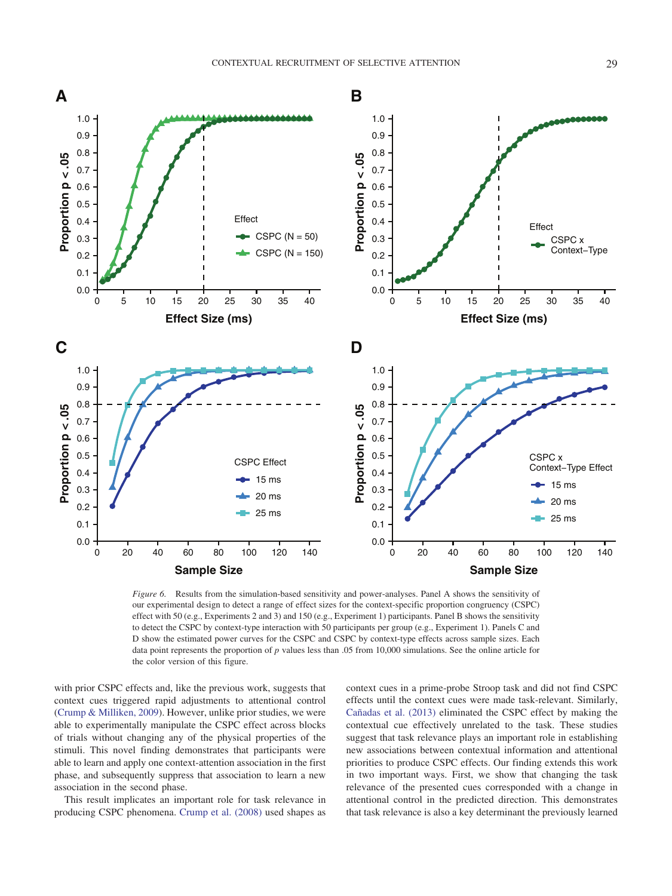

<span id="page-10-0"></span>*Figure 6.* Results from the simulation-based sensitivity and power-analyses. Panel A shows the sensitivity of our experimental design to detect a range of effect sizes for the context-specific proportion congruency (CSPC) effect with 50 (e.g., Experiments 2 and 3) and 150 (e.g., Experiment 1) participants. Panel B shows the sensitivity to detect the CSPC by context-type interaction with 50 participants per group (e.g., Experiment 1). Panels C and D show the estimated power curves for the CSPC and CSPC by context-type effects across sample sizes. Each data point represents the proportion of *p* values less than .05 from 10,000 simulations. See the online article for the color version of this figure.

with prior CSPC effects and, like the previous work, suggests that context cues triggered rapid adjustments to attentional control [\(Crump & Milliken, 2009\)](#page-13-13). However, unlike prior studies, we were able to experimentally manipulate the CSPC effect across blocks of trials without changing any of the physical properties of the stimuli. This novel finding demonstrates that participants were able to learn and apply one context-attention association in the first phase, and subsequently suppress that association to learn a new association in the second phase.

This result implicates an important role for task relevance in producing CSPC phenomena. [Crump et al. \(2008\)](#page-13-19) used shapes as context cues in a prime-probe Stroop task and did not find CSPC effects until the context cues were made task-relevant. Similarly, [Cañadas et al. \(2013\)](#page-12-8) eliminated the CSPC effect by making the contextual cue effectively unrelated to the task. These studies suggest that task relevance plays an important role in establishing new associations between contextual information and attentional priorities to produce CSPC effects. Our finding extends this work in two important ways. First, we show that changing the task relevance of the presented cues corresponded with a change in attentional control in the predicted direction. This demonstrates that task relevance is also a key determinant the previously learned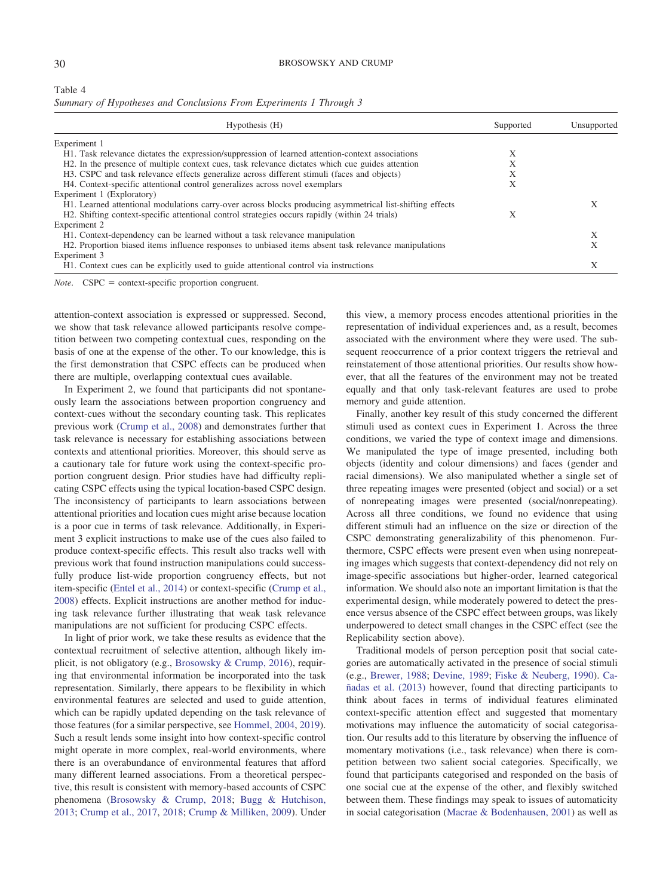<span id="page-11-0"></span>

| Table 4 |                                                                    |
|---------|--------------------------------------------------------------------|
|         | Summary of Hypotheses and Conclusions From Experiments 1 Through 3 |

| Hypothesis (H)                                                                                            | Supported | Unsupported |  |
|-----------------------------------------------------------------------------------------------------------|-----------|-------------|--|
| Experiment 1                                                                                              |           |             |  |
| H1. Task relevance dictates the expression/suppression of learned attention-context associations          | X         |             |  |
| H2. In the presence of multiple context cues, task relevance dictates which cue guides attention          | $\lambda$ |             |  |
| H3. CSPC and task relevance effects generalize across different stimuli (faces and objects)               | A         |             |  |
| H4. Context-specific attentional control generalizes across novel exemplars                               | Х         |             |  |
| Experiment 1 (Exploratory)                                                                                |           |             |  |
| H1. Learned attentional modulations carry-over across blocks producing asymmetrical list-shifting effects |           |             |  |
| H2. Shifting context-specific attentional control strategies occurs rapidly (within 24 trials)            | $\lambda$ |             |  |
| Experiment 2                                                                                              |           |             |  |
| H <sub>1</sub> . Context-dependency can be learned without a task relevance manipulation                  |           |             |  |
| H2. Proportion biased items influence responses to unbiased items absent task relevance manipulations     |           |             |  |
| Experiment 3                                                                                              |           |             |  |
| H <sub>1</sub> . Context cues can be explicitly used to guide attentional control via instructions        |           |             |  |

*Note.* CSPC = context-specific proportion congruent.

attention-context association is expressed or suppressed. Second, we show that task relevance allowed participants resolve competition between two competing contextual cues, responding on the basis of one at the expense of the other. To our knowledge, this is the first demonstration that CSPC effects can be produced when there are multiple, overlapping contextual cues available.

In Experiment 2, we found that participants did not spontaneously learn the associations between proportion congruency and context-cues without the secondary counting task. This replicates previous work [\(Crump et al., 2008\)](#page-13-19) and demonstrates further that task relevance is necessary for establishing associations between contexts and attentional priorities. Moreover, this should serve as a cautionary tale for future work using the context-specific proportion congruent design. Prior studies have had difficulty replicating CSPC effects using the typical location-based CSPC design. The inconsistency of participants to learn associations between attentional priorities and location cues might arise because location is a poor cue in terms of task relevance. Additionally, in Experiment 3 explicit instructions to make use of the cues also failed to produce context-specific effects. This result also tracks well with previous work that found instruction manipulations could successfully produce list-wide proportion congruency effects, but not item-specific [\(Entel et al., 2014\)](#page-13-33) or context-specific [\(Crump et al.,](#page-13-19) [2008\)](#page-13-19) effects. Explicit instructions are another method for inducing task relevance further illustrating that weak task relevance manipulations are not sufficient for producing CSPC effects.

In light of prior work, we take these results as evidence that the contextual recruitment of selective attention, although likely implicit, is not obligatory (e.g., [Brosowsky & Crump, 2016\)](#page-12-6), requiring that environmental information be incorporated into the task representation. Similarly, there appears to be flexibility in which environmental features are selected and used to guide attention, which can be rapidly updated depending on the task relevance of those features (for a similar perspective, see [Hommel, 2004,](#page-13-24) [2019\)](#page-13-25). Such a result lends some insight into how context-specific control might operate in more complex, real-world environments, where there is an overabundance of environmental features that afford many different learned associations. From a theoretical perspective, this result is consistent with memory-based accounts of CSPC phenomena [\(Brosowsky & Crump, 2018;](#page-12-0) [Bugg & Hutchison,](#page-12-13) [2013;](#page-12-13) [Crump et al., 2017,](#page-13-26) [2018;](#page-13-10) [Crump & Milliken, 2009\)](#page-13-13). Under this view, a memory process encodes attentional priorities in the representation of individual experiences and, as a result, becomes associated with the environment where they were used. The subsequent reoccurrence of a prior context triggers the retrieval and reinstatement of those attentional priorities. Our results show however, that all the features of the environment may not be treated equally and that only task-relevant features are used to probe memory and guide attention.

Finally, another key result of this study concerned the different stimuli used as context cues in Experiment 1. Across the three conditions, we varied the type of context image and dimensions. We manipulated the type of image presented, including both objects (identity and colour dimensions) and faces (gender and racial dimensions). We also manipulated whether a single set of three repeating images were presented (object and social) or a set of nonrepeating images were presented (social/nonrepeating). Across all three conditions, we found no evidence that using different stimuli had an influence on the size or direction of the CSPC demonstrating generalizability of this phenomenon. Furthermore, CSPC effects were present even when using nonrepeating images which suggests that context-dependency did not rely on image-specific associations but higher-order, learned categorical information. We should also note an important limitation is that the experimental design, while moderately powered to detect the presence versus absence of the CSPC effect between groups, was likely underpowered to detect small changes in the CSPC effect (see the Replicability section above).

Traditional models of person perception posit that social categories are automatically activated in the presence of social stimuli (e.g., [Brewer, 1988;](#page-12-14) [Devine, 1989;](#page-13-34) [Fiske & Neuberg, 1990\)](#page-13-35). [Ca](#page-12-8)[ñadas et al. \(2013\)](#page-12-8) however, found that directing participants to think about faces in terms of individual features eliminated context-specific attention effect and suggested that momentary motivations may influence the automaticity of social categorisation. Our results add to this literature by observing the influence of momentary motivations (i.e., task relevance) when there is competition between two salient social categories. Specifically, we found that participants categorised and responded on the basis of one social cue at the expense of the other, and flexibly switched between them. These findings may speak to issues of automaticity in social categorisation [\(Macrae & Bodenhausen, 2001\)](#page-14-28) as well as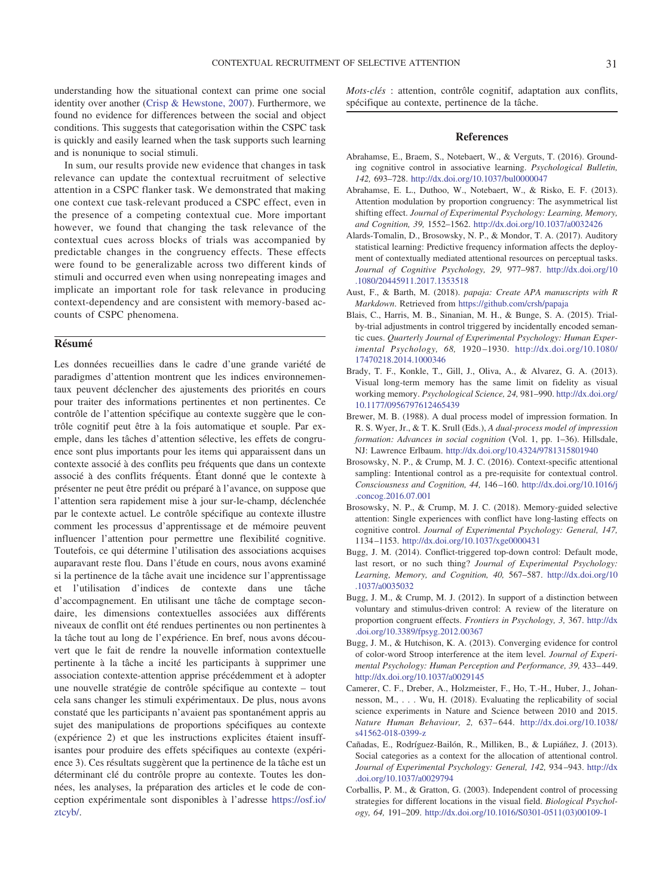understanding how the situational context can prime one social identity over another [\(Crisp & Hewstone, 2007\)](#page-13-36). Furthermore, we found no evidence for differences between the social and object conditions. This suggests that categorisation within the CSPC task is quickly and easily learned when the task supports such learning and is nonunique to social stimuli.

In sum, our results provide new evidence that changes in task relevance can update the contextual recruitment of selective attention in a CSPC flanker task. We demonstrated that making one context cue task-relevant produced a CSPC effect, even in the presence of a competing contextual cue. More important however, we found that changing the task relevance of the contextual cues across blocks of trials was accompanied by predictable changes in the congruency effects. These effects were found to be generalizable across two different kinds of stimuli and occurred even when using nonrepeating images and implicate an important role for task relevance in producing context-dependency and are consistent with memory-based accounts of CSPC phenomena.

# **Résumé**

Les données recueillies dans le cadre d'une grande variété de paradigmes d'attention montrent que les indices environnementaux peuvent déclencher des ajustements des priorités en cours pour traiter des informations pertinentes et non pertinentes. Ce contrôle de l'attention spécifique au contexte suggère que le contrôle cognitif peut être a` la fois automatique et souple. Par exemple, dans les tâches d'attention sélective, les effets de congruence sont plus importants pour les items qui apparaissent dans un contexte associé a` des conflits peu fréquents que dans un contexte associé a` des conflits fréquents. Étant donné que le contexte a` présenter ne peut être prédit ou préparé a` l'avance, on suppose que l'attention sera rapidement mise a` jour sur-le-champ, déclenchée par le contexte actuel. Le contrôle spécifique au contexte illustre comment les processus d'apprentissage et de mémoire peuvent influencer l'attention pour permettre une flexibilité cognitive. Toutefois, ce qui détermine l'utilisation des associations acquises auparavant reste flou. Dans l'étude en cours, nous avons examiné si la pertinence de la tâche avait une incidence sur l'apprentissage et l'utilisation d'indices de contexte dans une tâche d'accompagnement. En utilisant une tâche de comptage secondaire, les dimensions contextuelles associées aux différents niveaux de conflit ont été rendues pertinentes ou non pertinentes a` la tâche tout au long de l'expérience. En bref, nous avons découvert que le fait de rendre la nouvelle information contextuelle pertinente à la tâche a incité les participants à supprimer une association contexte-attention apprise précédemment et à adopter une nouvelle stratégie de contrôle spécifique au contexte – tout cela sans changer les stimuli expérimentaux. De plus, nous avons constaté que les participants n'avaient pas spontanément appris au sujet des manipulations de proportions spécifiques au contexte (expérience 2) et que les instructions explicites étaient insuffisantes pour produire des effets spécifiques au contexte (expérience 3). Ces résultats suggèrent que la pertinence de la tâche est un déterminant clé du contrôle propre au contexte. Toutes les données, les analyses, la préparation des articles et le code de conception expérimentale sont disponibles a` l'adresse [https://osf.io/](https://osf.io/ztcyb/) [ztcyb/.](https://osf.io/ztcyb/)

*Mots-clés* : attention, contrôle cognitif, adaptation aux conflits, spécifique au contexte, pertinence de la tâche.

## **References**

- <span id="page-12-7"></span>Abrahamse, E., Braem, S., Notebaert, W., & Verguts, T. (2016). Grounding cognitive control in associative learning. *Psychological Bulletin, 142,* 693–728. <http://dx.doi.org/10.1037/bul0000047>
- <span id="page-12-11"></span>Abrahamse, E. L., Duthoo, W., Notebaert, W., & Risko, E. F. (2013). Attention modulation by proportion congruency: The asymmetrical list shifting effect. *Journal of Experimental Psychology: Learning, Memory, and Cognition, 39,* 1552–1562. <http://dx.doi.org/10.1037/a0032426>
- <span id="page-12-3"></span>Alards-Tomalin, D., Brosowsky, N. P., & Mondor, T. A. (2017). Auditory statistical learning: Predictive frequency information affects the deployment of contextually mediated attentional resources on perceptual tasks. *Journal of Cognitive Psychology, 29,* 977–987. [http://dx.doi.org/10](http://dx.doi.org/10.1080/20445911.2017.1353518) [.1080/20445911.2017.1353518](http://dx.doi.org/10.1080/20445911.2017.1353518)
- <span id="page-12-10"></span>Aust, F., & Barth, M. (2018). *papaja: Create APA manuscripts with R Markdown*. Retrieved from <https://github.com/crsh/papaja>
- <span id="page-12-4"></span>Blais, C., Harris, M. B., Sinanian, M. H., & Bunge, S. A. (2015). Trialby-trial adjustments in control triggered by incidentally encoded semantic cues. *Quarterly Journal of Experimental Psychology: Human Experimental Psychology, 68,* 1920 –1930. [http://dx.doi.org/10.1080/](http://dx.doi.org/10.1080/17470218.2014.1000346) [17470218.2014.1000346](http://dx.doi.org/10.1080/17470218.2014.1000346)
- <span id="page-12-9"></span>Brady, T. F., Konkle, T., Gill, J., Oliva, A., & Alvarez, G. A. (2013). Visual long-term memory has the same limit on fidelity as visual working memory. *Psychological Science, 24,* 981–990. [http://dx.doi.org/](http://dx.doi.org/10.1177/0956797612465439) [10.1177/0956797612465439](http://dx.doi.org/10.1177/0956797612465439)
- <span id="page-12-14"></span>Brewer, M. B. (1988). A dual process model of impression formation. In R. S. Wyer, Jr., & T. K. Srull (Eds.), *A dual-process model of impression formation: Advances in social cognition* (Vol. 1, pp. 1–36). Hillsdale, NJ: Lawrence Erlbaum. <http://dx.doi.org/10.4324/9781315801940>
- <span id="page-12-6"></span>Brosowsky, N. P., & Crump, M. J. C. (2016). Context-specific attentional sampling: Intentional control as a pre-requisite for contextual control. *Consciousness and Cognition, 44,* 146 –160. [http://dx.doi.org/10.1016/j](http://dx.doi.org/10.1016/j.concog.2016.07.001) [.concog.2016.07.001](http://dx.doi.org/10.1016/j.concog.2016.07.001)
- <span id="page-12-0"></span>Brosowsky, N. P., & Crump, M. J. C. (2018). Memory-guided selective attention: Single experiences with conflict have long-lasting effects on cognitive control. *Journal of Experimental Psychology: General, 147,* 1134 –1153. <http://dx.doi.org/10.1037/xge0000431>
- <span id="page-12-5"></span>Bugg, J. M. (2014). Conflict-triggered top-down control: Default mode, last resort, or no such thing? *Journal of Experimental Psychology: Learning, Memory, and Cognition, 40,* 567–587. [http://dx.doi.org/10](http://dx.doi.org/10.1037/a0035032) [.1037/a0035032](http://dx.doi.org/10.1037/a0035032)
- <span id="page-12-1"></span>Bugg, J. M., & Crump, M. J. (2012). In support of a distinction between voluntary and stimulus-driven control: A review of the literature on proportion congruent effects. *Frontiers in Psychology, 3,* 367. [http://dx](http://dx.doi.org/10.3389/fpsyg.2012.00367) [.doi.org/10.3389/fpsyg.2012.00367](http://dx.doi.org/10.3389/fpsyg.2012.00367)
- <span id="page-12-13"></span>Bugg, J. M., & Hutchison, K. A. (2013). Converging evidence for control of color-word Stroop interference at the item level. *Journal of Experimental Psychology: Human Perception and Performance, 39,* 433– 449. <http://dx.doi.org/10.1037/a0029145>
- <span id="page-12-12"></span>Camerer, C. F., Dreber, A., Holzmeister, F., Ho, T.-H., Huber, J., Johannesson, M., . . . Wu, H. (2018). Evaluating the replicability of social science experiments in Nature and Science between 2010 and 2015. *Nature Human Behaviour, 2,* 637– 644. [http://dx.doi.org/10.1038/](http://dx.doi.org/10.1038/s41562-018-0399-z) [s41562-018-0399-z](http://dx.doi.org/10.1038/s41562-018-0399-z)
- <span id="page-12-8"></span>Cañadas, E., Rodríguez-Bailón, R., Milliken, B., & Lupiáñez, J. (2013). Social categories as a context for the allocation of attentional control. *Journal of Experimental Psychology: General, 142,* 934 –943. [http://dx](http://dx.doi.org/10.1037/a0029794) [.doi.org/10.1037/a0029794](http://dx.doi.org/10.1037/a0029794)
- <span id="page-12-2"></span>Corballis, P. M., & Gratton, G. (2003). Independent control of processing strategies for different locations in the visual field. *Biological Psychology, 64,* 191–209. [http://dx.doi.org/10.1016/S0301-0511\(03\)00109-1](http://dx.doi.org/10.1016/S0301-0511%2803%2900109-1)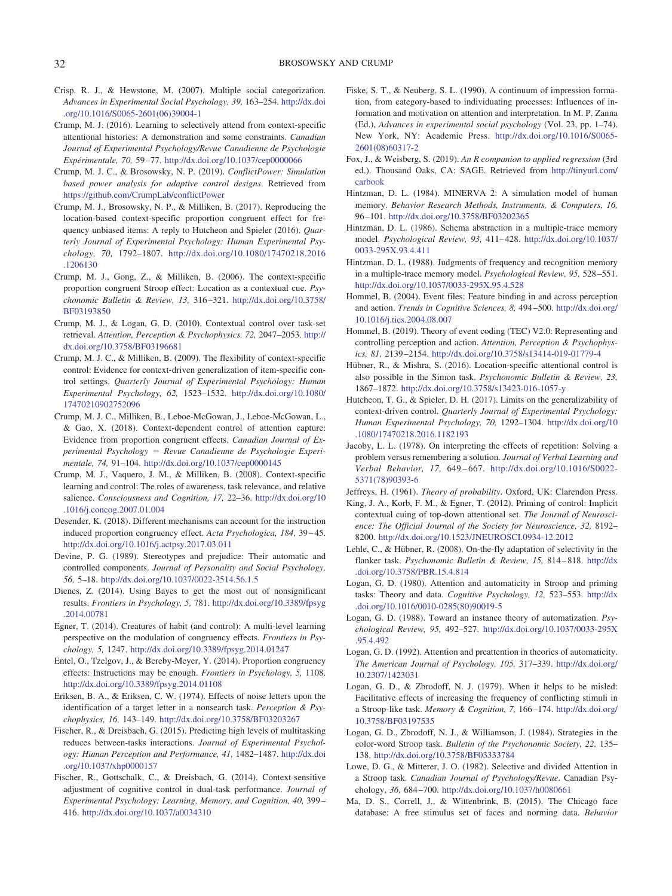- <span id="page-13-36"></span>Crisp, R. J., & Hewstone, M. (2007). Multiple social categorization. *Advances in Experimental Social Psychology, 39,* 163–254. [http://dx.doi](http://dx.doi.org/10.1016/S0065-2601%2806%2939004-1) [.org/10.1016/S0065-2601\(06\)39004-1](http://dx.doi.org/10.1016/S0065-2601%2806%2939004-1)
- <span id="page-13-9"></span>Crump, M. J. (2016). Learning to selectively attend from context-specific attentional histories: A demonstration and some constraints. *Canadian Journal of Experimental Psychology/Revue Canadienne de Psychologie Expérimentale, 70,* 59 –77. <http://dx.doi.org/10.1037/cep0000066>
- <span id="page-13-29"></span>Crump, M. J. C., & Brosowsky, N. P. (2019). *ConflictPower: Simulation based power analysis for adaptive control designs*. Retrieved from <https://github.com/CrumpLab/conflictPower>
- <span id="page-13-26"></span>Crump, M. J., Brosowsky, N. P., & Milliken, B. (2017). Reproducing the location-based context-specific proportion congruent effect for frequency unbiased items: A reply to Hutcheon and Spieler (2016). *Quarterly Journal of Experimental Psychology: Human Experimental Psychology, 70,* 1792–1807. [http://dx.doi.org/10.1080/17470218.2016](http://dx.doi.org/10.1080/17470218.2016.1206130) [.1206130](http://dx.doi.org/10.1080/17470218.2016.1206130)
- <span id="page-13-8"></span>Crump, M. J., Gong, Z., & Milliken, B. (2006). The context-specific proportion congruent Stroop effect: Location as a contextual cue. *Psychonomic Bulletin & Review, 13,* 316 –321. [http://dx.doi.org/10.3758/](http://dx.doi.org/10.3758/BF03193850) [BF03193850](http://dx.doi.org/10.3758/BF03193850)
- <span id="page-13-18"></span>Crump, M. J., & Logan, G. D. (2010). Contextual control over task-set retrieval. *Attention, Perception & Psychophysics, 72,* 2047–2053. [http://](http://dx.doi.org/10.3758/BF03196681) [dx.doi.org/10.3758/BF03196681](http://dx.doi.org/10.3758/BF03196681)
- <span id="page-13-13"></span>Crump, M. J. C., & Milliken, B. (2009). The flexibility of context-specific control: Evidence for context-driven generalization of item-specific control settings. *Quarterly Journal of Experimental Psychology: Human Experimental Psychology, 62,* 1523–1532. [http://dx.doi.org/10.1080/](http://dx.doi.org/10.1080/17470210902752096) [17470210902752096](http://dx.doi.org/10.1080/17470210902752096)
- <span id="page-13-10"></span>Crump, M. J. C., Milliken, B., Leboe-McGowan, J., Leboe-McGowan, L., & Gao, X. (2018). Context-dependent control of attention capture: Evidence from proportion congruent effects. *Canadian Journal of Experimental Psychology Revue Canadienne de Psychologie Experimentale, 74,* 91–104. <http://dx.doi.org/10.1037/cep0000145>
- <span id="page-13-19"></span>Crump, M. J., Vaquero, J. M., & Milliken, B. (2008). Context-specific learning and control: The roles of awareness, task relevance, and relative salience. *Consciousness and Cognition, 17,* 22–36. [http://dx.doi.org/10](http://dx.doi.org/10.1016/j.concog.2007.01.004) [.1016/j.concog.2007.01.004](http://dx.doi.org/10.1016/j.concog.2007.01.004)
- <span id="page-13-32"></span>Desender, K. (2018). Different mechanisms can account for the instruction induced proportion congruency effect. *Acta Psychologica, 184,* 39 – 45. <http://dx.doi.org/10.1016/j.actpsy.2017.03.011>
- <span id="page-13-34"></span>Devine, P. G. (1989). Stereotypes and prejudice: Their automatic and controlled components. *Journal of Personality and Social Psychology, 56,* 5–18. <http://dx.doi.org/10.1037/0022-3514.56.1.5>
- <span id="page-13-30"></span>Dienes, Z. (2014). Using Bayes to get the most out of nonsignificant results. *Frontiers in Psychology, 5,* 781. [http://dx.doi.org/10.3389/fpsyg](http://dx.doi.org/10.3389/fpsyg.2014.00781) [.2014.00781](http://dx.doi.org/10.3389/fpsyg.2014.00781)
- <span id="page-13-5"></span>Egner, T. (2014). Creatures of habit (and control): A multi-level learning perspective on the modulation of congruency effects. *Frontiers in Psychology, 5,* 1247. <http://dx.doi.org/10.3389/fpsyg.2014.01247>
- <span id="page-13-33"></span>Entel, O., Tzelgov, J., & Bereby-Meyer, Y. (2014). Proportion congruency effects: Instructions may be enough. *Frontiers in Psychology, 5,* 1108. <http://dx.doi.org/10.3389/fpsyg.2014.01108>
- <span id="page-13-0"></span>Eriksen, B. A., & Eriksen, C. W. (1974). Effects of noise letters upon the identification of a target letter in a nonsearch task. *Perception & Psychophysics, 16,* 143–149. <http://dx.doi.org/10.3758/BF03203267>
- <span id="page-13-6"></span>Fischer, R., & Dreisbach, G. (2015). Predicting high levels of multitasking reduces between-tasks interactions. *Journal of Experimental Psychology: Human Perception and Performance, 41,* 1482–1487. [http://dx.doi](http://dx.doi.org/10.1037/xhp0000157) [.org/10.1037/xhp0000157](http://dx.doi.org/10.1037/xhp0000157)
- <span id="page-13-11"></span>Fischer, R., Gottschalk, C., & Dreisbach, G. (2014). Context-sensitive adjustment of cognitive control in dual-task performance. *Journal of Experimental Psychology: Learning, Memory, and Cognition, 40,* 399 – 416. <http://dx.doi.org/10.1037/a0034310>
- <span id="page-13-35"></span>Fiske, S. T., & Neuberg, S. L. (1990). A continuum of impression formation, from category-based to individuating processes: Influences of information and motivation on attention and interpretation. In M. P. Zanna (Ed.), *Advances in experimental social psychology* (Vol. 23, pp. 1–74). New York, NY: Academic Press. [http://dx.doi.org/10.1016/S0065-](http://dx.doi.org/10.1016/S0065-2601%2808%2960317-2) [2601\(08\)60317-2](http://dx.doi.org/10.1016/S0065-2601%2808%2960317-2)
- <span id="page-13-28"></span>Fox, J., & Weisberg, S. (2019). *An R companion to applied regression* (3rd ed.). Thousand Oaks, CA: SAGE. Retrieved from [http://tinyurl.com/](http://tinyurl.com/carbook) [carbook](http://tinyurl.com/carbook)
- <span id="page-13-20"></span>Hintzman, D. L. (1984). MINERVA 2: A simulation model of human memory. *Behavior Research Methods, Instruments, & Computers, 16,* 96 –101. <http://dx.doi.org/10.3758/BF03202365>
- <span id="page-13-21"></span>Hintzman, D. L. (1986). Schema abstraction in a multiple-trace memory model. *Psychological Review, 93,* 411– 428. [http://dx.doi.org/10.1037/](http://dx.doi.org/10.1037/0033-295X.93.4.411) [0033-295X.93.4.411](http://dx.doi.org/10.1037/0033-295X.93.4.411)
- <span id="page-13-22"></span>Hintzman, D. L. (1988). Judgments of frequency and recognition memory in a multiple-trace memory model. *Psychological Review, 95,* 528 –551. <http://dx.doi.org/10.1037/0033-295X.95.4.528>
- <span id="page-13-24"></span>Hommel, B. (2004). Event files: Feature binding in and across perception and action. *Trends in Cognitive Sciences, 8,* 494 –500. [http://dx.doi.org/](http://dx.doi.org/10.1016/j.tics.2004.08.007) [10.1016/j.tics.2004.08.007](http://dx.doi.org/10.1016/j.tics.2004.08.007)
- <span id="page-13-25"></span>Hommel, B. (2019). Theory of event coding (TEC) V2.0: Representing and controlling perception and action. *Attention, Perception & Psychophysics, 81,* 2139 –2154. <http://dx.doi.org/10.3758/s13414-019-01779-4>
- <span id="page-13-12"></span>Hübner, R., & Mishra, S. (2016). Location-specific attentional control is also possible in the Simon task. *Psychonomic Bulletin & Review, 23,* 1867–1872. <http://dx.doi.org/10.3758/s13423-016-1057-y>
- <span id="page-13-14"></span>Hutcheon, T. G., & Spieler, D. H. (2017). Limits on the generalizability of context-driven control. *Quarterly Journal of Experimental Psychology: Human Experimental Psychology, 70,* 1292–1304. [http://dx.doi.org/10](http://dx.doi.org/10.1080/17470218.2016.1182193) [.1080/17470218.2016.1182193](http://dx.doi.org/10.1080/17470218.2016.1182193)
- <span id="page-13-23"></span>Jacoby, L. L. (1978). On interpreting the effects of repetition: Solving a problem versus remembering a solution. *Journal of Verbal Learning and Verbal Behavior, 17,* 649 – 667. [http://dx.doi.org/10.1016/S0022-](http://dx.doi.org/10.1016/S0022-5371%2878%2990393-6) [5371\(78\)90393-6](http://dx.doi.org/10.1016/S0022-5371%2878%2990393-6)
- <span id="page-13-31"></span><span id="page-13-7"></span>Jeffreys, H. (1961). *Theory of probability*. Oxford, UK: Clarendon Press.
- King, J. A., Korb, F. M., & Egner, T. (2012). Priming of control: Implicit contextual cuing of top-down attentional set. *The Journal of Neuroscience: The Official Journal of the Society for Neuroscience, 32,* 8192– 8200. <http://dx.doi.org/10.1523/JNEUROSCI.0934-12.2012>
- <span id="page-13-17"></span>Lehle, C., & Hübner, R. (2008). On-the-fly adaptation of selectivity in the flanker task. *Psychonomic Bulletin & Review, 15,* 814 – 818. [http://dx](http://dx.doi.org/10.3758/PBR.15.4.814) [.doi.org/10.3758/PBR.15.4.814](http://dx.doi.org/10.3758/PBR.15.4.814)
- <span id="page-13-3"></span>Logan, G. D. (1980). Attention and automaticity in Stroop and priming tasks: Theory and data. *Cognitive Psychology, 12,* 523–553. [http://dx](http://dx.doi.org/10.1016/0010-0285%2880%2990019-5) [.doi.org/10.1016/0010-0285\(80\)90019-5](http://dx.doi.org/10.1016/0010-0285%2880%2990019-5)
- <span id="page-13-15"></span>Logan, G. D. (1988). Toward an instance theory of automatization. *Psychological Review, 95,* 492–527. [http://dx.doi.org/10.1037/0033-295X](http://dx.doi.org/10.1037/0033-295X.95.4.492) [.95.4.492](http://dx.doi.org/10.1037/0033-295X.95.4.492)
- <span id="page-13-16"></span>Logan, G. D. (1992). Attention and preattention in theories of automaticity. *The American Journal of Psychology, 105,* 317–339. [http://dx.doi.org/](http://dx.doi.org/10.2307/1423031) [10.2307/1423031](http://dx.doi.org/10.2307/1423031)
- <span id="page-13-1"></span>Logan, G. D., & Zbrodoff, N. J. (1979). When it helps to be misled: Facilitative effects of increasing the frequency of conflicting stimuli in a Stroop-like task. *Memory & Cognition, 7,* 166 –174. [http://dx.doi.org/](http://dx.doi.org/10.3758/BF03197535) [10.3758/BF03197535](http://dx.doi.org/10.3758/BF03197535)
- <span id="page-13-4"></span>Logan, G. D., Zbrodoff, N. J., & Williamson, J. (1984). Strategies in the color-word Stroop task. *Bulletin of the Psychonomic Society, 22,* 135– 138. <http://dx.doi.org/10.3758/BF03333784>
- <span id="page-13-2"></span>Lowe, D. G., & Mitterer, J. O. (1982). Selective and divided Attention in a Stroop task. *Canadian Journal of Psychology/Revue*. Canadian Psychology, *36,* 684 –700. <http://dx.doi.org/10.1037/h0080661>
- <span id="page-13-27"></span>Ma, D. S., Correll, J., & Wittenbrink, B. (2015). The Chicago face database: A free stimulus set of faces and norming data. *Behavior*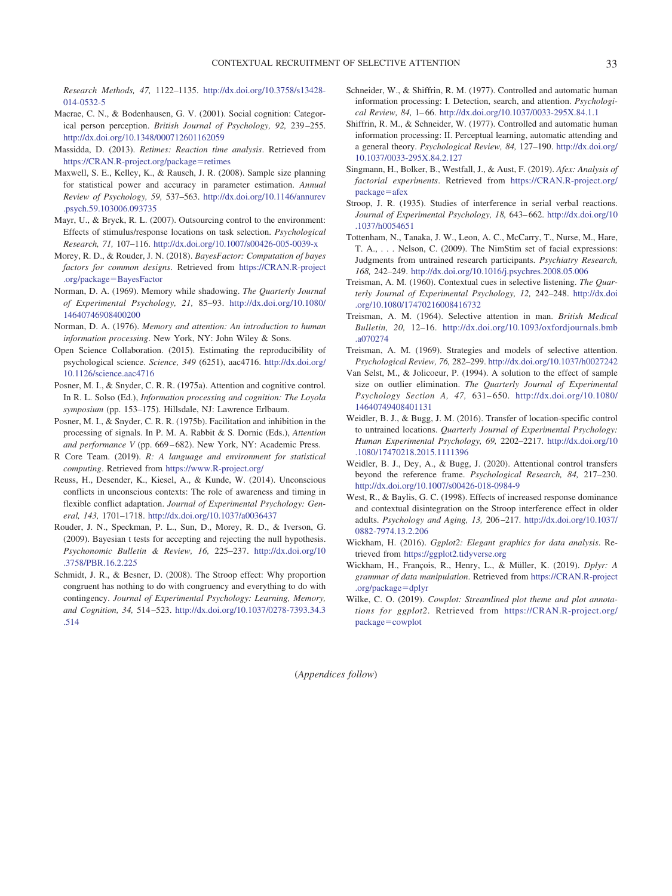*Research Methods, 47,* 1122–1135. [http://dx.doi.org/10.3758/s13428-](http://dx.doi.org/10.3758/s13428-014-0532-5) [014-0532-5](http://dx.doi.org/10.3758/s13428-014-0532-5)

- <span id="page-14-28"></span>Macrae, C. N., & Bodenhausen, G. V. (2001). Social cognition: Categorical person perception. *British Journal of Psychology, 92,* 239 –255. <http://dx.doi.org/10.1348/000712601162059>
- <span id="page-14-27"></span>Massidda, D. (2013). *Retimes: Reaction time analysis*. Retrieved from [https://CRAN.R-project.org/package](https://CRAN.R-project.org/package=retimes)=retimes
- <span id="page-14-26"></span>Maxwell, S. E., Kelley, K., & Rausch, J. R. (2008). Sample size planning for statistical power and accuracy in parameter estimation. *Annual Review of Psychology, 59,* 537–563. [http://dx.doi.org/10.1146/annurev](http://dx.doi.org/10.1146/annurev.psych.59.103006.093735) [.psych.59.103006.093735](http://dx.doi.org/10.1146/annurev.psych.59.103006.093735)
- <span id="page-14-2"></span>Mayr, U., & Bryck, R. L. (2007). Outsourcing control to the environment: Effects of stimulus/response locations on task selection. *Psychological Research, 71,* 107–116. <http://dx.doi.org/10.1007/s00426-005-0039-x>
- <span id="page-14-22"></span>Morey, R. D., & Rouder, J. N. (2018). *BayesFactor: Computation of bayes factors for common designs*. Retrieved from [https://CRAN.R-project](https://CRAN.R-project.org/package=BayesFactor) [.org/package](https://CRAN.R-project.org/package=BayesFactor)=BayesFactor
- <span id="page-14-14"></span>Norman, D. A. (1969). Memory while shadowing. *The Quarterly Journal of Experimental Psychology, 21,* 85–93. [http://dx.doi.org/10.1080/](http://dx.doi.org/10.1080/14640746908400200) [14640746908400200](http://dx.doi.org/10.1080/14640746908400200)
- <span id="page-14-15"></span>Norman, D. A. (1976). *Memory and attention: An introduction to human information processing*. New York, NY: John Wiley & Sons.
- <span id="page-14-25"></span>Open Science Collaboration. (2015). Estimating the reproducibility of psychological science. *Science, 349* (6251), aac4716. [http://dx.doi.org/](http://dx.doi.org/10.1126/science.aac4716) [10.1126/science.aac4716](http://dx.doi.org/10.1126/science.aac4716)
- <span id="page-14-8"></span>Posner, M. I., & Snyder, C. R. R. (1975a). Attention and cognitive control. In R. L. Solso (Ed.), *Information processing and cognition: The Loyola symposium* (pp. 153–175). Hillsdale, NJ: Lawrence Erlbaum.
- <span id="page-14-9"></span>Posner, M. I., & Snyder, C. R. R. (1975b). Facilitation and inhibition in the processing of signals. In P. M. A. Rabbit & S. Dornic (Eds.), *Attention and performance V* (pp. 669 – 682). New York, NY: Academic Press.
- <span id="page-14-17"></span>R Core Team. (2019). *R: A language and environment for statistical computing*. Retrieved from <https://www.R-project.org/>
- <span id="page-14-13"></span>Reuss, H., Desender, K., Kiesel, A., & Kunde, W. (2014). Unconscious conflicts in unconscious contexts: The role of awareness and timing in flexible conflict adaptation. *Journal of Experimental Psychology: General, 143,* 1701–1718. <http://dx.doi.org/10.1037/a0036437>
- <span id="page-14-23"></span>Rouder, J. N., Speckman, P. L., Sun, D., Morey, R. D., & Iverson, G. (2009). Bayesian t tests for accepting and rejecting the null hypothesis. *Psychonomic Bulletin & Review, 16,* 225–237. [http://dx.doi.org/10](http://dx.doi.org/10.3758/PBR.16.2.225) [.3758/PBR.16.2.225](http://dx.doi.org/10.3758/PBR.16.2.225)
- <span id="page-14-3"></span>Schmidt, J. R., & Besner, D. (2008). The Stroop effect: Why proportion congruent has nothing to do with congruency and everything to do with contingency. *Journal of Experimental Psychology: Learning, Memory, and Cognition, 34,* 514 –523. [http://dx.doi.org/10.1037/0278-7393.34.3](http://dx.doi.org/10.1037/0278-7393.34.3.514) [.514](http://dx.doi.org/10.1037/0278-7393.34.3.514)
- <span id="page-14-6"></span>Schneider, W., & Shiffrin, R. M. (1977). Controlled and automatic human information processing: I. Detection, search, and attention. *Psychological Review, 84,* 1– 66. <http://dx.doi.org/10.1037/0033-295X.84.1.1>
- <span id="page-14-7"></span>Shiffrin, R. M., & Schneider, W. (1977). Controlled and automatic human information processing: II. Perceptual learning, automatic attending and a general theory. *Psychological Review, 84,* 127–190. [http://dx.doi.org/](http://dx.doi.org/10.1037/0033-295X.84.2.127) [10.1037/0033-295X.84.2.127](http://dx.doi.org/10.1037/0033-295X.84.2.127)
- <span id="page-14-21"></span>Singmann, H., Bolker, B., Westfall, J., & Aust, F. (2019). *Afex: Analysis of factorial experiments*. Retrieved from [https://CRAN.R-project.org/](https://CRAN.R-project.org/package=afex)  $package = a$  $package = a$ fex
- <span id="page-14-0"></span>Stroop, J. R. (1935). Studies of interference in serial verbal reactions. *Journal of Experimental Psychology, 18,* 643– 662. [http://dx.doi.org/10](http://dx.doi.org/10.1037/h0054651) [.1037/h0054651](http://dx.doi.org/10.1037/h0054651)
- <span id="page-14-16"></span>Tottenham, N., Tanaka, J. W., Leon, A. C., McCarry, T., Nurse, M., Hare, T. A., . . . Nelson, C. (2009). The NimStim set of facial expressions: Judgments from untrained research participants. *Psychiatry Research, 168,* 242–249. <http://dx.doi.org/10.1016/j.psychres.2008.05.006>
- <span id="page-14-10"></span>Treisman, A. M. (1960). Contextual cues in selective listening. *The Quarterly Journal of Experimental Psychology, 12,* 242–248. [http://dx.doi](http://dx.doi.org/10.1080/17470216008416732) [.org/10.1080/17470216008416732](http://dx.doi.org/10.1080/17470216008416732)
- <span id="page-14-11"></span>Treisman, A. M. (1964). Selective attention in man. *British Medical Bulletin, 20,* 12–16. [http://dx.doi.org/10.1093/oxfordjournals.bmb](http://dx.doi.org/10.1093/oxfordjournals.bmb.a070274) [.a070274](http://dx.doi.org/10.1093/oxfordjournals.bmb.a070274)
- <span id="page-14-12"></span>Treisman, A. M. (1969). Strategies and models of selective attention. *Psychological Review, 76,* 282–299. <http://dx.doi.org/10.1037/h0027242>
- <span id="page-14-24"></span>Van Selst, M., & Jolicoeur, P. (1994). A solution to the effect of sample size on outlier elimination. *The Quarterly Journal of Experimental Psychology Section A, 47,* 631– 650. [http://dx.doi.org/10.1080/](http://dx.doi.org/10.1080/14640749408401131) [14640749408401131](http://dx.doi.org/10.1080/14640749408401131)
- <span id="page-14-4"></span>Weidler, B. J., & Bugg, J. M. (2016). Transfer of location-specific control to untrained locations. *Quarterly Journal of Experimental Psychology: Human Experimental Psychology, 69,* 2202–2217. [http://dx.doi.org/10](http://dx.doi.org/10.1080/17470218.2015.1111396) [.1080/17470218.2015.1111396](http://dx.doi.org/10.1080/17470218.2015.1111396)
- <span id="page-14-5"></span>Weidler, B. J., Dey, A., & Bugg, J. (2020). Attentional control transfers beyond the reference frame. *Psychological Research, 84,* 217–230. <http://dx.doi.org/10.1007/s00426-018-0984-9>
- <span id="page-14-1"></span>West, R., & Baylis, G. C. (1998). Effects of increased response dominance and contextual disintegration on the Stroop interference effect in older adults. *Psychology and Aging, 13,* 206 –217. [http://dx.doi.org/10.1037/](http://dx.doi.org/10.1037/0882-7974.13.2.206) [0882-7974.13.2.206](http://dx.doi.org/10.1037/0882-7974.13.2.206)
- <span id="page-14-18"></span>Wickham, H. (2016). *Ggplot2: Elegant graphics for data analysis*. Retrieved from <https://ggplot2.tidyverse.org>
- <span id="page-14-19"></span>Wickham, H., François, R., Henry, L., & Müller, K. (2019). *Dplyr: A grammar of data manipulation*. Retrieved from [https://CRAN.R-project](https://CRAN.R-project.org/package=dplyr) [.org/package](https://CRAN.R-project.org/package=dplyr)=dplyr
- <span id="page-14-20"></span>Wilke, C. O. (2019). *Cowplot: Streamlined plot theme and plot annotations for ggplot2*. Retrieved from [https://CRAN.R-project.org/](https://CRAN.R-project.org/package=cowplot) [package](https://CRAN.R-project.org/package=cowplot)=cowplot

(*Appendices follow*)